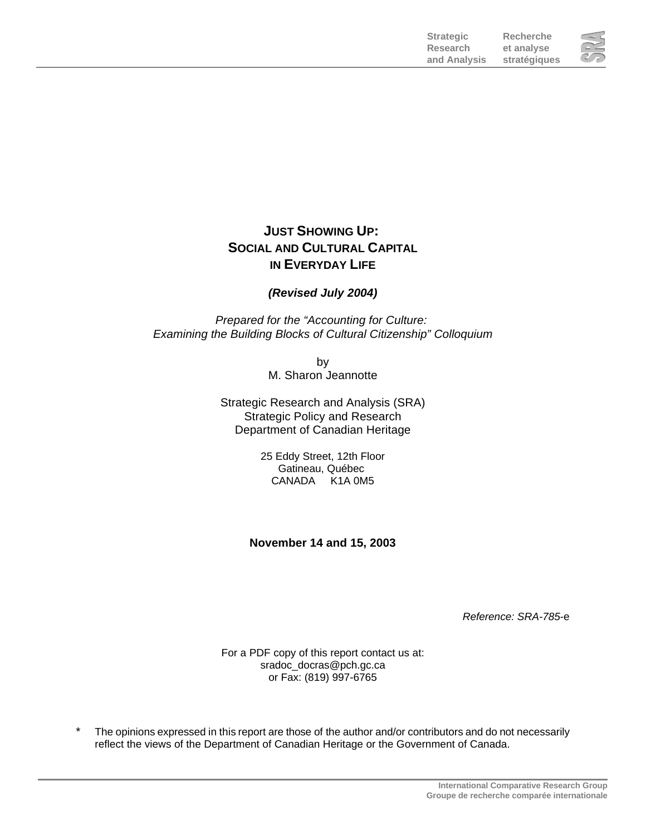# **JUST SHOWING UP: SOCIAL AND CULTURAL CAPITAL IN EVERYDAY LIFE**

#### *(Revised July 2004)*

*Prepared for the "Accounting for Culture: Examining the Building Blocks of Cultural Citizenship" Colloquium*

> by M. Sharon Jeannotte

Strategic Research and Analysis (SRA) Strategic Policy and Research Department of Canadian Heritage

> 25 Eddy Street, 12th Floor Gatineau, Québec CANADA K1A 0M5

#### **November 14 and 15, 2003**

*Reference: SRA-785*-e

For a PDF copy of this report contact us at: sradoc\_docras@pch.gc.ca or Fax: (819) 997-6765

The opinions expressed in this report are those of the author and/or contributors and do not necessarily reflect the views of the Department of Canadian Heritage or the Government of Canada.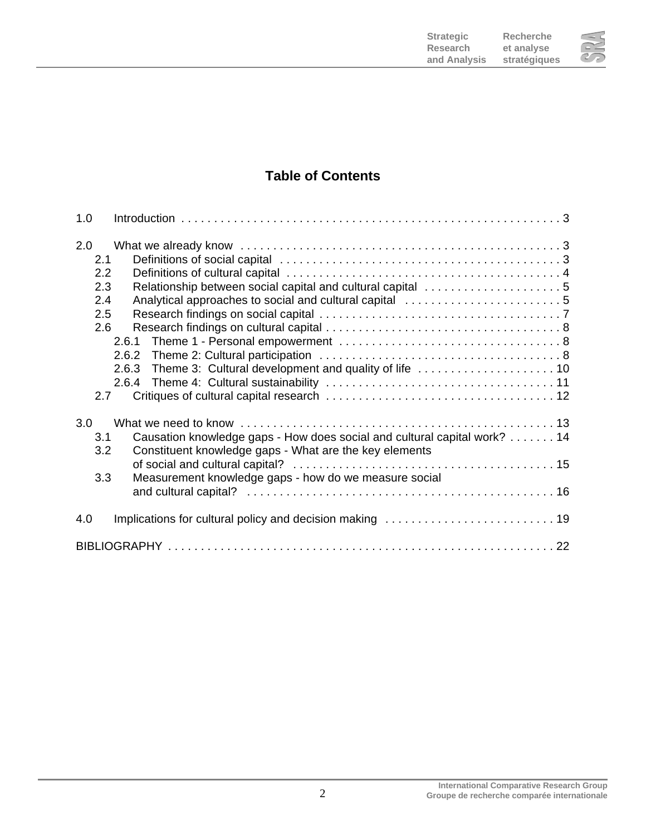# **Table of Contents**

| 1.0                                                  |                                                                                                                                                                                             |
|------------------------------------------------------|---------------------------------------------------------------------------------------------------------------------------------------------------------------------------------------------|
| 2.0<br>2.1<br>2.2<br>2.3<br>2.4<br>2.5<br>2.6<br>2.7 | Relationship between social capital and cultural capital 5<br>Analytical approaches to social and cultural capital 5<br>2.6.1<br>2.6.2<br>2.6.3                                             |
| 3.0<br>3.1<br>3.2<br>3.3                             | Causation knowledge gaps - How does social and cultural capital work? 14<br>Constituent knowledge gaps - What are the key elements<br>Measurement knowledge gaps - how do we measure social |
| 4.0                                                  |                                                                                                                                                                                             |
|                                                      |                                                                                                                                                                                             |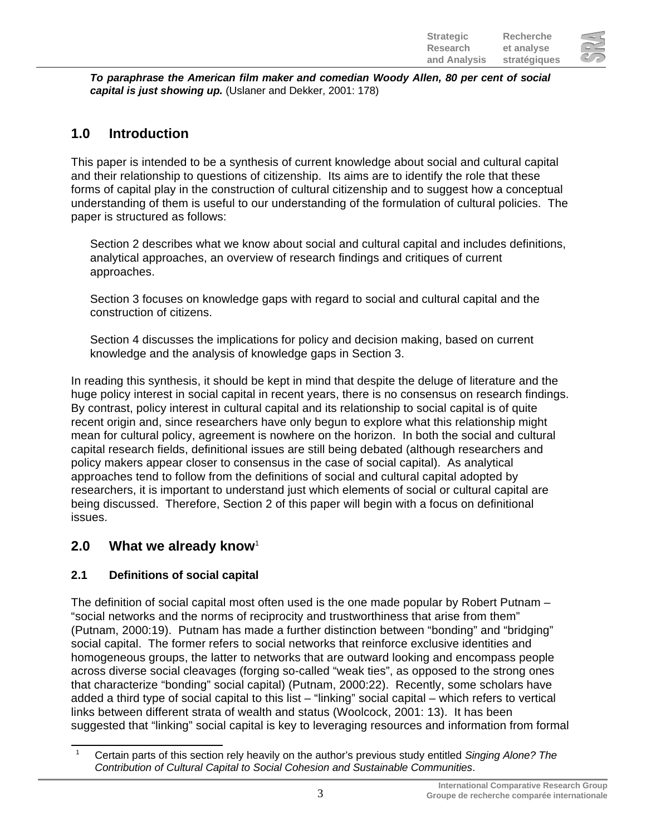*To paraphrase the American film maker and comedian Woody Allen, 80 per cent of social capital is just showing up.* (Uslaner and Dekker, 2001: 178)

# **1.0 Introduction**

This paper is intended to be a synthesis of current knowledge about social and cultural capital and their relationship to questions of citizenship. Its aims are to identify the role that these forms of capital play in the construction of cultural citizenship and to suggest how a conceptual understanding of them is useful to our understanding of the formulation of cultural policies. The paper is structured as follows:

Section 2 describes what we know about social and cultural capital and includes definitions, analytical approaches, an overview of research findings and critiques of current approaches.

Section 3 focuses on knowledge gaps with regard to social and cultural capital and the construction of citizens.

Section 4 discusses the implications for policy and decision making, based on current knowledge and the analysis of knowledge gaps in Section 3.

In reading this synthesis, it should be kept in mind that despite the deluge of literature and the huge policy interest in social capital in recent years, there is no consensus on research findings. By contrast, policy interest in cultural capital and its relationship to social capital is of quite recent origin and, since researchers have only begun to explore what this relationship might mean for cultural policy, agreement is nowhere on the horizon. In both the social and cultural capital research fields, definitional issues are still being debated (although researchers and policy makers appear closer to consensus in the case of social capital). As analytical approaches tend to follow from the definitions of social and cultural capital adopted by researchers, it is important to understand just which elements of social or cultural capital are being discussed. Therefore, Section 2 of this paper will begin with a focus on definitional issues.

# **2.0 What we already know**<sup>1</sup>

## **2.1 Definitions of social capital**

The definition of social capital most often used is the one made popular by Robert Putnam – "social networks and the norms of reciprocity and trustworthiness that arise from them" (Putnam, 2000:19). Putnam has made a further distinction between "bonding" and "bridging" social capital. The former refers to social networks that reinforce exclusive identities and homogeneous groups, the latter to networks that are outward looking and encompass people across diverse social cleavages (forging so-called "weak ties", as opposed to the strong ones that characterize "bonding" social capital) (Putnam, 2000:22). Recently, some scholars have added a third type of social capital to this list – "linking" social capital – which refers to vertical links between different strata of wealth and status (Woolcock, 2001: 13). It has been suggested that "linking" social capital is key to leveraging resources and information from formal

<sup>1</sup> Certain parts of this section rely heavily on the author's previous study entitled *Singing Alone? The Contribution of Cultural Capital to Social Cohesion and Sustainable Communities*.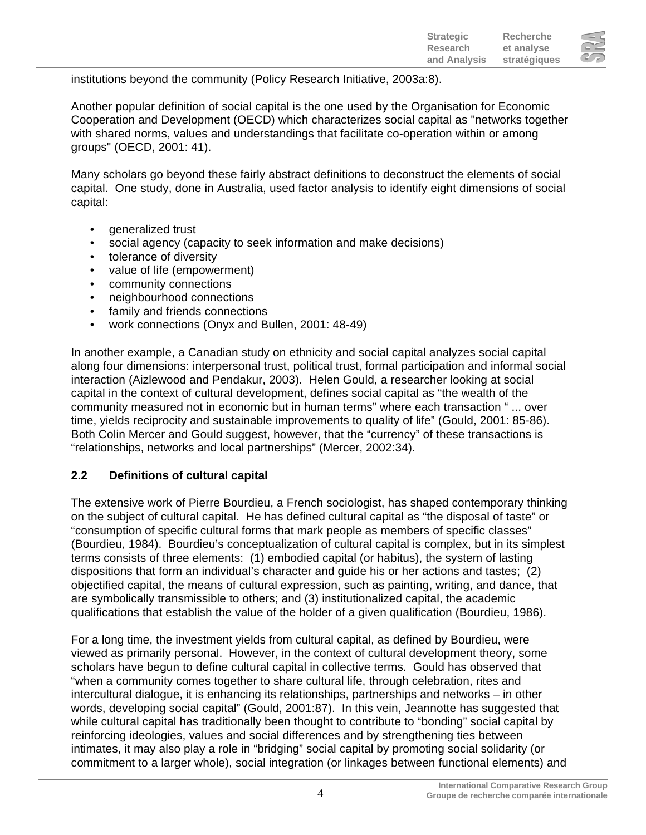institutions beyond the community (Policy Research Initiative, 2003a:8).

Another popular definition of social capital is the one used by the Organisation for Economic Cooperation and Development (OECD) which characterizes social capital as "networks together with shared norms, values and understandings that facilitate co-operation within or among groups" (OECD, 2001: 41).

Many scholars go beyond these fairly abstract definitions to deconstruct the elements of social capital. One study, done in Australia, used factor analysis to identify eight dimensions of social capital:

- generalized trust
- social agency (capacity to seek information and make decisions)
- tolerance of diversity
- value of life (empowerment)
- community connections
- neighbourhood connections
- family and friends connections
- work connections (Onyx and Bullen, 2001: 48-49)

In another example, a Canadian study on ethnicity and social capital analyzes social capital along four dimensions: interpersonal trust, political trust, formal participation and informal social interaction (Aizlewood and Pendakur, 2003). Helen Gould, a researcher looking at social capital in the context of cultural development, defines social capital as "the wealth of the community measured not in economic but in human terms" where each transaction " ... over time, yields reciprocity and sustainable improvements to quality of life" (Gould, 2001: 85-86). Both Colin Mercer and Gould suggest, however, that the "currency" of these transactions is "relationships, networks and local partnerships" (Mercer, 2002:34).

#### **2.2 Definitions of cultural capital**

The extensive work of Pierre Bourdieu, a French sociologist, has shaped contemporary thinking on the subject of cultural capital. He has defined cultural capital as "the disposal of taste" or "consumption of specific cultural forms that mark people as members of specific classes" (Bourdieu, 1984). Bourdieu's conceptualization of cultural capital is complex, but in its simplest terms consists of three elements: (1) embodied capital (or habitus), the system of lasting dispositions that form an individual's character and guide his or her actions and tastes; (2) objectified capital, the means of cultural expression, such as painting, writing, and dance, that are symbolically transmissible to others; and (3) institutionalized capital, the academic qualifications that establish the value of the holder of a given qualification (Bourdieu, 1986).

For a long time, the investment yields from cultural capital, as defined by Bourdieu, were viewed as primarily personal. However, in the context of cultural development theory, some scholars have begun to define cultural capital in collective terms. Gould has observed that "when a community comes together to share cultural life, through celebration, rites and intercultural dialogue, it is enhancing its relationships, partnerships and networks – in other words, developing social capital" (Gould, 2001:87). In this vein, Jeannotte has suggested that while cultural capital has traditionally been thought to contribute to "bonding" social capital by reinforcing ideologies, values and social differences and by strengthening ties between intimates, it may also play a role in "bridging" social capital by promoting social solidarity (or commitment to a larger whole), social integration (or linkages between functional elements) and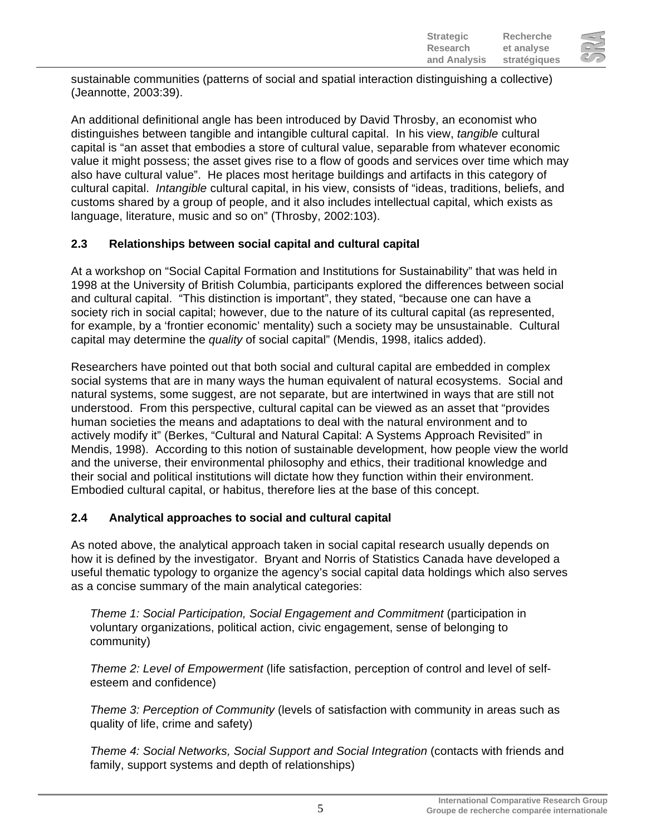sustainable communities (patterns of social and spatial interaction distinguishing a collective) (Jeannotte, 2003:39).

An additional definitional angle has been introduced by David Throsby, an economist who distinguishes between tangible and intangible cultural capital. In his view, *tangible* cultural capital is "an asset that embodies a store of cultural value, separable from whatever economic value it might possess; the asset gives rise to a flow of goods and services over time which may also have cultural value". He places most heritage buildings and artifacts in this category of cultural capital. *Intangible* cultural capital, in his view, consists of "ideas, traditions, beliefs, and customs shared by a group of people, and it also includes intellectual capital, which exists as language, literature, music and so on" (Throsby, 2002:103).

#### **2.3 Relationships between social capital and cultural capital**

At a workshop on "Social Capital Formation and Institutions for Sustainability" that was held in 1998 at the University of British Columbia, participants explored the differences between social and cultural capital. "This distinction is important", they stated, "because one can have a society rich in social capital; however, due to the nature of its cultural capital (as represented, for example, by a 'frontier economic' mentality) such a society may be unsustainable. Cultural capital may determine the *quality* of social capital" (Mendis, 1998, italics added).

Researchers have pointed out that both social and cultural capital are embedded in complex social systems that are in many ways the human equivalent of natural ecosystems. Social and natural systems, some suggest, are not separate, but are intertwined in ways that are still not understood. From this perspective, cultural capital can be viewed as an asset that "provides human societies the means and adaptations to deal with the natural environment and to actively modify it" (Berkes, "Cultural and Natural Capital: A Systems Approach Revisited" in Mendis, 1998). According to this notion of sustainable development, how people view the world and the universe, their environmental philosophy and ethics, their traditional knowledge and their social and political institutions will dictate how they function within their environment. Embodied cultural capital, or habitus, therefore lies at the base of this concept.

## **2.4 Analytical approaches to social and cultural capital**

As noted above, the analytical approach taken in social capital research usually depends on how it is defined by the investigator. Bryant and Norris of Statistics Canada have developed a useful thematic typology to organize the agency's social capital data holdings which also serves as a concise summary of the main analytical categories:

*Theme 1: Social Participation, Social Engagement and Commitment* (participation in voluntary organizations, political action, civic engagement, sense of belonging to community)

*Theme 2: Level of Empowerment* (life satisfaction, perception of control and level of selfesteem and confidence)

*Theme 3: Perception of Community* (levels of satisfaction with community in areas such as quality of life, crime and safety)

*Theme 4: Social Networks, Social Support and Social Integration* (contacts with friends and family, support systems and depth of relationships)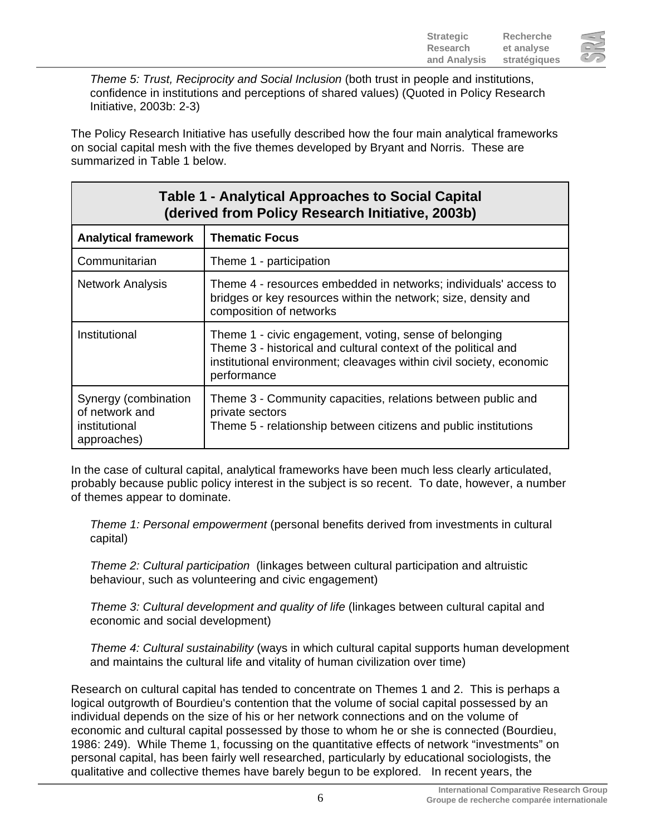*Theme 5: Trust, Reciprocity and Social Inclusion* (both trust in people and institutions, confidence in institutions and perceptions of shared values) (Quoted in Policy Research Initiative, 2003b: 2-3)

The Policy Research Initiative has usefully described how the four main analytical frameworks on social capital mesh with the five themes developed by Bryant and Norris. These are summarized in Table 1 below.

| <b>Table 1 - Analytical Approaches to Social Capital</b><br>(derived from Policy Research Initiative, 2003b) |                                                                                                                                                                                                                |  |  |  |
|--------------------------------------------------------------------------------------------------------------|----------------------------------------------------------------------------------------------------------------------------------------------------------------------------------------------------------------|--|--|--|
| <b>Analytical framework</b>                                                                                  | <b>Thematic Focus</b>                                                                                                                                                                                          |  |  |  |
| Communitarian                                                                                                | Theme 1 - participation                                                                                                                                                                                        |  |  |  |
| <b>Network Analysis</b>                                                                                      | Theme 4 - resources embedded in networks; individuals' access to<br>bridges or key resources within the network; size, density and<br>composition of networks                                                  |  |  |  |
| Institutional                                                                                                | Theme 1 - civic engagement, voting, sense of belonging<br>Theme 3 - historical and cultural context of the political and<br>institutional environment; cleavages within civil society, economic<br>performance |  |  |  |
| Synergy (combination<br>of network and<br>institutional<br>approaches)                                       | Theme 3 - Community capacities, relations between public and<br>private sectors<br>Theme 5 - relationship between citizens and public institutions                                                             |  |  |  |

In the case of cultural capital, analytical frameworks have been much less clearly articulated, probably because public policy interest in the subject is so recent. To date, however, a number of themes appear to dominate.

*Theme 1: Personal empowerment* (personal benefits derived from investments in cultural capital)

*Theme 2: Cultural participation* (linkages between cultural participation and altruistic behaviour, such as volunteering and civic engagement)

*Theme 3: Cultural development and quality of life* (linkages between cultural capital and economic and social development)

*Theme 4: Cultural sustainability* (ways in which cultural capital supports human development and maintains the cultural life and vitality of human civilization over time)

Research on cultural capital has tended to concentrate on Themes 1 and 2. This is perhaps a logical outgrowth of Bourdieu's contention that the volume of social capital possessed by an individual depends on the size of his or her network connections and on the volume of economic and cultural capital possessed by those to whom he or she is connected (Bourdieu, 1986: 249). While Theme 1, focussing on the quantitative effects of network "investments" on personal capital, has been fairly well researched, particularly by educational sociologists, the qualitative and collective themes have barely begun to be explored. In recent years, the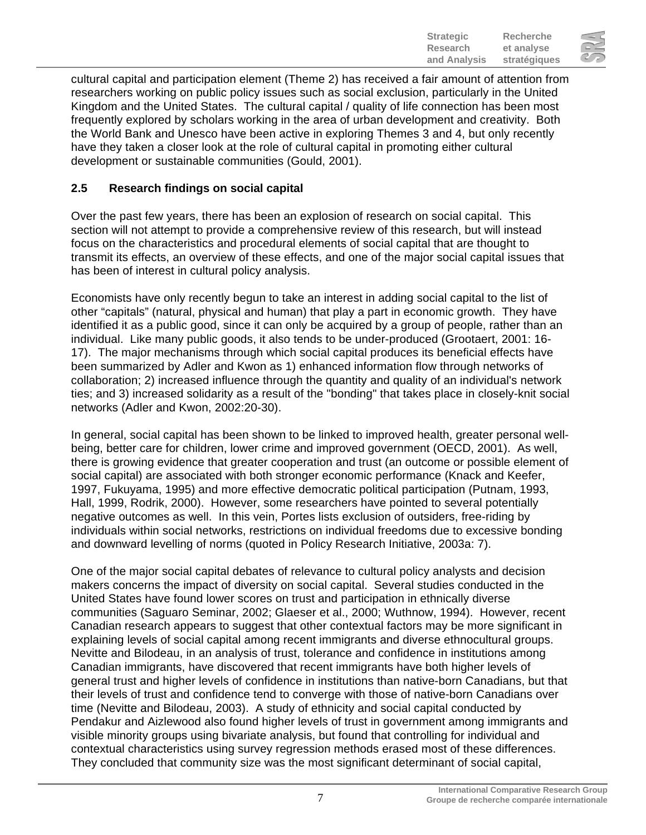cultural capital and participation element (Theme 2) has received a fair amount of attention from researchers working on public policy issues such as social exclusion, particularly in the United Kingdom and the United States. The cultural capital / quality of life connection has been most frequently explored by scholars working in the area of urban development and creativity. Both the World Bank and Unesco have been active in exploring Themes 3 and 4, but only recently have they taken a closer look at the role of cultural capital in promoting either cultural development or sustainable communities (Gould, 2001).

#### **2.5 Research findings on social capital**

Over the past few years, there has been an explosion of research on social capital. This section will not attempt to provide a comprehensive review of this research, but will instead focus on the characteristics and procedural elements of social capital that are thought to transmit its effects, an overview of these effects, and one of the major social capital issues that has been of interest in cultural policy analysis.

Economists have only recently begun to take an interest in adding social capital to the list of other "capitals" (natural, physical and human) that play a part in economic growth. They have identified it as a public good, since it can only be acquired by a group of people, rather than an individual. Like many public goods, it also tends to be under-produced (Grootaert, 2001: 16- 17). The major mechanisms through which social capital produces its beneficial effects have been summarized by Adler and Kwon as 1) enhanced information flow through networks of collaboration; 2) increased influence through the quantity and quality of an individual's network ties; and 3) increased solidarity as a result of the "bonding" that takes place in closely-knit social networks (Adler and Kwon, 2002:20-30).

In general, social capital has been shown to be linked to improved health, greater personal wellbeing, better care for children, lower crime and improved government (OECD, 2001). As well, there is growing evidence that greater cooperation and trust (an outcome or possible element of social capital) are associated with both stronger economic performance (Knack and Keefer, 1997, Fukuyama, 1995) and more effective democratic political participation (Putnam, 1993, Hall, 1999, Rodrik, 2000). However, some researchers have pointed to several potentially negative outcomes as well. In this vein, Portes lists exclusion of outsiders, free-riding by individuals within social networks, restrictions on individual freedoms due to excessive bonding and downward levelling of norms (quoted in Policy Research Initiative, 2003a: 7).

One of the major social capital debates of relevance to cultural policy analysts and decision makers concerns the impact of diversity on social capital. Several studies conducted in the United States have found lower scores on trust and participation in ethnically diverse communities (Saguaro Seminar, 2002; Glaeser et al., 2000; Wuthnow, 1994). However, recent Canadian research appears to suggest that other contextual factors may be more significant in explaining levels of social capital among recent immigrants and diverse ethnocultural groups. Nevitte and Bilodeau, in an analysis of trust, tolerance and confidence in institutions among Canadian immigrants, have discovered that recent immigrants have both higher levels of general trust and higher levels of confidence in institutions than native-born Canadians, but that their levels of trust and confidence tend to converge with those of native-born Canadians over time (Nevitte and Bilodeau, 2003). A study of ethnicity and social capital conducted by Pendakur and Aizlewood also found higher levels of trust in government among immigrants and visible minority groups using bivariate analysis, but found that controlling for individual and contextual characteristics using survey regression methods erased most of these differences. They concluded that community size was the most significant determinant of social capital,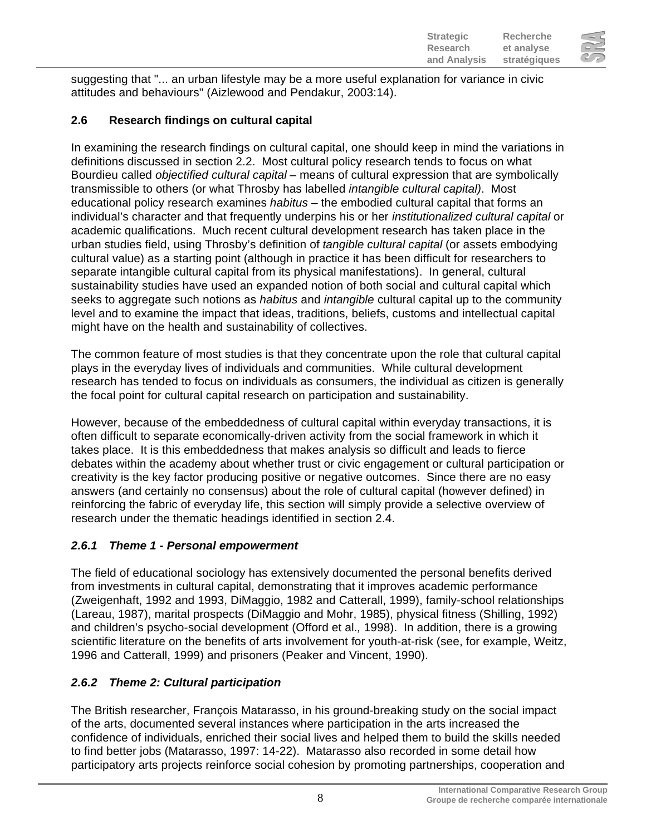suggesting that "... an urban lifestyle may be a more useful explanation for variance in civic attitudes and behaviours" (Aizlewood and Pendakur, 2003:14).

## **2.6 Research findings on cultural capital**

In examining the research findings on cultural capital, one should keep in mind the variations in definitions discussed in section 2.2. Most cultural policy research tends to focus on what Bourdieu called *objectified cultural capital* – means of cultural expression that are symbolically transmissible to others (or what Throsby has labelled *intangible cultural capital)*. Most educational policy research examines *habitus* – the embodied cultural capital that forms an individual's character and that frequently underpins his or her *institutionalized cultural capital* or academic qualifications. Much recent cultural development research has taken place in the urban studies field, using Throsby's definition of *tangible cultural capital* (or assets embodying cultural value) as a starting point (although in practice it has been difficult for researchers to separate intangible cultural capital from its physical manifestations). In general, cultural sustainability studies have used an expanded notion of both social and cultural capital which seeks to aggregate such notions as *habitus* and *intangible* cultural capital up to the community level and to examine the impact that ideas, traditions, beliefs, customs and intellectual capital might have on the health and sustainability of collectives.

The common feature of most studies is that they concentrate upon the role that cultural capital plays in the everyday lives of individuals and communities. While cultural development research has tended to focus on individuals as consumers, the individual as citizen is generally the focal point for cultural capital research on participation and sustainability.

However, because of the embeddedness of cultural capital within everyday transactions, it is often difficult to separate economically-driven activity from the social framework in which it takes place. It is this embeddedness that makes analysis so difficult and leads to fierce debates within the academy about whether trust or civic engagement or cultural participation or creativity is the key factor producing positive or negative outcomes. Since there are no easy answers (and certainly no consensus) about the role of cultural capital (however defined) in reinforcing the fabric of everyday life, this section will simply provide a selective overview of research under the thematic headings identified in section 2.4.

## *2.6.1 Theme 1 - Personal empowerment*

The field of educational sociology has extensively documented the personal benefits derived from investments in cultural capital, demonstrating that it improves academic performance (Zweigenhaft, 1992 and 1993, DiMaggio, 1982 and Catterall, 1999), family-school relationships (Lareau, 1987), marital prospects (DiMaggio and Mohr, 1985), physical fitness (Shilling, 1992) and children's psycho-social development (Offord et al.*,* 1998). In addition, there is a growing scientific literature on the benefits of arts involvement for youth-at-risk (see, for example, Weitz, 1996 and Catterall, 1999) and prisoners (Peaker and Vincent, 1990).

# *2.6.2 Theme 2: Cultural participation*

The British researcher, François Matarasso, in his ground-breaking study on the social impact of the arts, documented several instances where participation in the arts increased the confidence of individuals, enriched their social lives and helped them to build the skills needed to find better jobs (Matarasso, 1997: 14-22). Matarasso also recorded in some detail how participatory arts projects reinforce social cohesion by promoting partnerships, cooperation and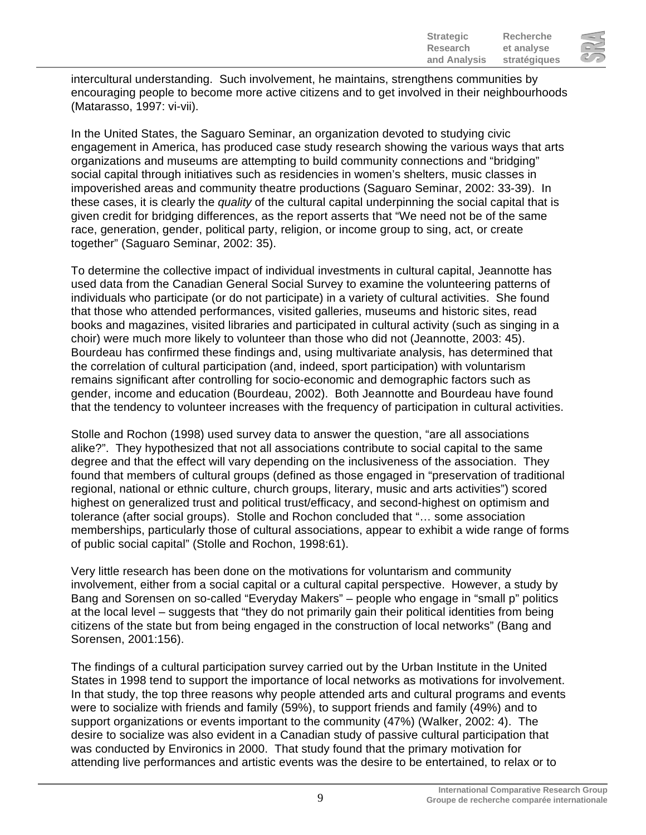intercultural understanding. Such involvement, he maintains, strengthens communities by encouraging people to become more active citizens and to get involved in their neighbourhoods (Matarasso, 1997: vi-vii).

In the United States, the Saguaro Seminar, an organization devoted to studying civic engagement in America, has produced case study research showing the various ways that arts organizations and museums are attempting to build community connections and "bridging" social capital through initiatives such as residencies in women's shelters, music classes in impoverished areas and community theatre productions (Saguaro Seminar, 2002: 33-39). In these cases, it is clearly the *quality* of the cultural capital underpinning the social capital that is given credit for bridging differences, as the report asserts that "We need not be of the same race, generation, gender, political party, religion, or income group to sing, act, or create together" (Saguaro Seminar, 2002: 35).

To determine the collective impact of individual investments in cultural capital, Jeannotte has used data from the Canadian General Social Survey to examine the volunteering patterns of individuals who participate (or do not participate) in a variety of cultural activities. She found that those who attended performances, visited galleries, museums and historic sites, read books and magazines, visited libraries and participated in cultural activity (such as singing in a choir) were much more likely to volunteer than those who did not (Jeannotte, 2003: 45). Bourdeau has confirmed these findings and, using multivariate analysis, has determined that the correlation of cultural participation (and, indeed, sport participation) with voluntarism remains significant after controlling for socio-economic and demographic factors such as gender, income and education (Bourdeau, 2002). Both Jeannotte and Bourdeau have found that the tendency to volunteer increases with the frequency of participation in cultural activities.

Stolle and Rochon (1998) used survey data to answer the question, "are all associations alike?". They hypothesized that not all associations contribute to social capital to the same degree and that the effect will vary depending on the inclusiveness of the association. They found that members of cultural groups (defined as those engaged in "preservation of traditional regional, national or ethnic culture, church groups, literary, music and arts activities") scored highest on generalized trust and political trust/efficacy, and second-highest on optimism and tolerance (after social groups). Stolle and Rochon concluded that "… some association memberships, particularly those of cultural associations, appear to exhibit a wide range of forms of public social capital" (Stolle and Rochon, 1998:61).

Very little research has been done on the motivations for voluntarism and community involvement, either from a social capital or a cultural capital perspective. However, a study by Bang and Sorensen on so-called "Everyday Makers" – people who engage in "small p" politics at the local level – suggests that "they do not primarily gain their political identities from being citizens of the state but from being engaged in the construction of local networks" (Bang and Sorensen, 2001:156).

The findings of a cultural participation survey carried out by the Urban Institute in the United States in 1998 tend to support the importance of local networks as motivations for involvement. In that study, the top three reasons why people attended arts and cultural programs and events were to socialize with friends and family (59%), to support friends and family (49%) and to support organizations or events important to the community (47%) (Walker, 2002: 4). The desire to socialize was also evident in a Canadian study of passive cultural participation that was conducted by Environics in 2000. That study found that the primary motivation for attending live performances and artistic events was the desire to be entertained, to relax or to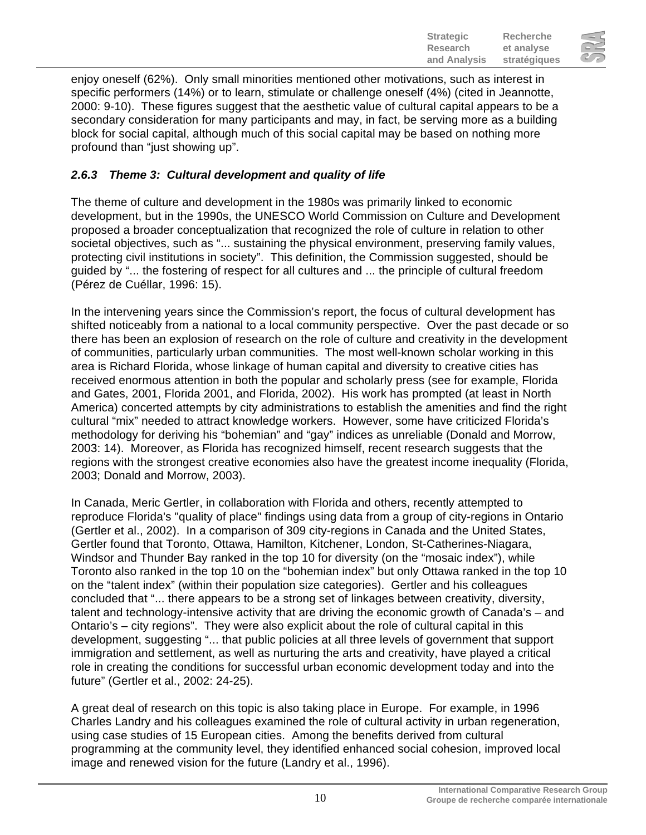enjoy oneself (62%). Only small minorities mentioned other motivations, such as interest in specific performers (14%) or to learn, stimulate or challenge oneself (4%) (cited in Jeannotte, 2000: 9-10). These figures suggest that the aesthetic value of cultural capital appears to be a secondary consideration for many participants and may, in fact, be serving more as a building block for social capital, although much of this social capital may be based on nothing more profound than "just showing up".

### *2.6.3 Theme 3: Cultural development and quality of life*

The theme of culture and development in the 1980s was primarily linked to economic development, but in the 1990s, the UNESCO World Commission on Culture and Development proposed a broader conceptualization that recognized the role of culture in relation to other societal objectives, such as "... sustaining the physical environment, preserving family values, protecting civil institutions in society". This definition, the Commission suggested, should be guided by "... the fostering of respect for all cultures and ... the principle of cultural freedom (Pérez de Cuéllar, 1996: 15).

In the intervening years since the Commission's report, the focus of cultural development has shifted noticeably from a national to a local community perspective. Over the past decade or so there has been an explosion of research on the role of culture and creativity in the development of communities, particularly urban communities. The most well-known scholar working in this area is Richard Florida, whose linkage of human capital and diversity to creative cities has received enormous attention in both the popular and scholarly press (see for example, Florida and Gates, 2001, Florida 2001, and Florida, 2002). His work has prompted (at least in North America) concerted attempts by city administrations to establish the amenities and find the right cultural "mix" needed to attract knowledge workers. However, some have criticized Florida's methodology for deriving his "bohemian" and "gay" indices as unreliable (Donald and Morrow, 2003: 14). Moreover, as Florida has recognized himself, recent research suggests that the regions with the strongest creative economies also have the greatest income inequality (Florida, 2003; Donald and Morrow, 2003).

In Canada, Meric Gertler, in collaboration with Florida and others, recently attempted to reproduce Florida's "quality of place" findings using data from a group of city-regions in Ontario (Gertler et al., 2002). In a comparison of 309 city-regions in Canada and the United States, Gertler found that Toronto, Ottawa, Hamilton, Kitchener, London, St-Catherines-Niagara, Windsor and Thunder Bay ranked in the top 10 for diversity (on the "mosaic index"), while Toronto also ranked in the top 10 on the "bohemian index" but only Ottawa ranked in the top 10 on the "talent index" (within their population size categories). Gertler and his colleagues concluded that "... there appears to be a strong set of linkages between creativity, diversity, talent and technology-intensive activity that are driving the economic growth of Canada's – and Ontario's – city regions". They were also explicit about the role of cultural capital in this development, suggesting "... that public policies at all three levels of government that support immigration and settlement, as well as nurturing the arts and creativity, have played a critical role in creating the conditions for successful urban economic development today and into the future" (Gertler et al., 2002: 24-25).

A great deal of research on this topic is also taking place in Europe. For example, in 1996 Charles Landry and his colleagues examined the role of cultural activity in urban regeneration, using case studies of 15 European cities. Among the benefits derived from cultural programming at the community level, they identified enhanced social cohesion, improved local image and renewed vision for the future (Landry et al., 1996).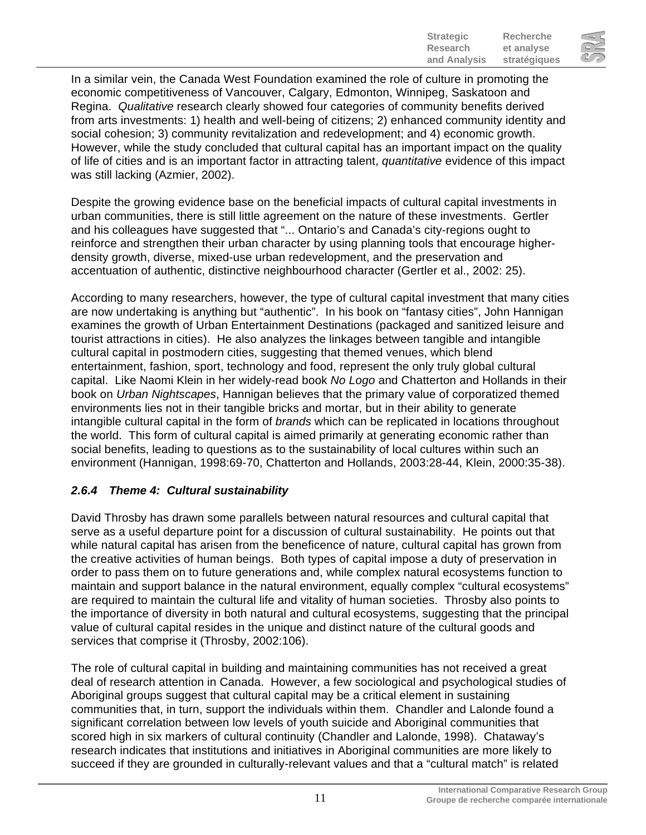In a similar vein, the Canada West Foundation examined the role of culture in promoting the economic competitiveness of Vancouver, Calgary, Edmonton, Winnipeg, Saskatoon and Regina. *Qualitative* research clearly showed four categories of community benefits derived from arts investments: 1) health and well-being of citizens; 2) enhanced community identity and social cohesion; 3) community revitalization and redevelopment; and 4) economic growth. However, while the study concluded that cultural capital has an important impact on the quality of life of cities and is an important factor in attracting talent, *quantitative* evidence of this impact was still lacking (Azmier, 2002).

Despite the growing evidence base on the beneficial impacts of cultural capital investments in urban communities, there is still little agreement on the nature of these investments. Gertler and his colleagues have suggested that "... Ontario's and Canada's city-regions ought to reinforce and strengthen their urban character by using planning tools that encourage higherdensity growth, diverse, mixed-use urban redevelopment, and the preservation and accentuation of authentic, distinctive neighbourhood character (Gertler et al., 2002: 25).

According to many researchers, however, the type of cultural capital investment that many cities are now undertaking is anything but "authentic". In his book on "fantasy cities", John Hannigan examines the growth of Urban Entertainment Destinations (packaged and sanitized leisure and tourist attractions in cities). He also analyzes the linkages between tangible and intangible cultural capital in postmodern cities, suggesting that themed venues, which blend entertainment, fashion, sport, technology and food, represent the only truly global cultural capital. Like Naomi Klein in her widely-read book *No Logo* and Chatterton and Hollands in their book on *Urban Nightscapes*, Hannigan believes that the primary value of corporatized themed environments lies not in their tangible bricks and mortar, but in their ability to generate intangible cultural capital in the form of *brands* which can be replicated in locations throughout the world. This form of cultural capital is aimed primarily at generating economic rather than social benefits, leading to questions as to the sustainability of local cultures within such an environment (Hannigan, 1998:69-70, Chatterton and Hollands, 2003:28-44, Klein, 2000:35-38).

## *2.6.4 Theme 4: Cultural sustainability*

David Throsby has drawn some parallels between natural resources and cultural capital that serve as a useful departure point for a discussion of cultural sustainability. He points out that while natural capital has arisen from the beneficence of nature, cultural capital has grown from the creative activities of human beings. Both types of capital impose a duty of preservation in order to pass them on to future generations and, while complex natural ecosystems function to maintain and support balance in the natural environment, equally complex "cultural ecosystems" are required to maintain the cultural life and vitality of human societies. Throsby also points to the importance of diversity in both natural and cultural ecosystems, suggesting that the principal value of cultural capital resides in the unique and distinct nature of the cultural goods and services that comprise it (Throsby, 2002:106).

The role of cultural capital in building and maintaining communities has not received a great deal of research attention in Canada. However, a few sociological and psychological studies of Aboriginal groups suggest that cultural capital may be a critical element in sustaining communities that, in turn, support the individuals within them. Chandler and Lalonde found a significant correlation between low levels of youth suicide and Aboriginal communities that scored high in six markers of cultural continuity (Chandler and Lalonde, 1998). Chataway's research indicates that institutions and initiatives in Aboriginal communities are more likely to succeed if they are grounded in culturally-relevant values and that a "cultural match" is related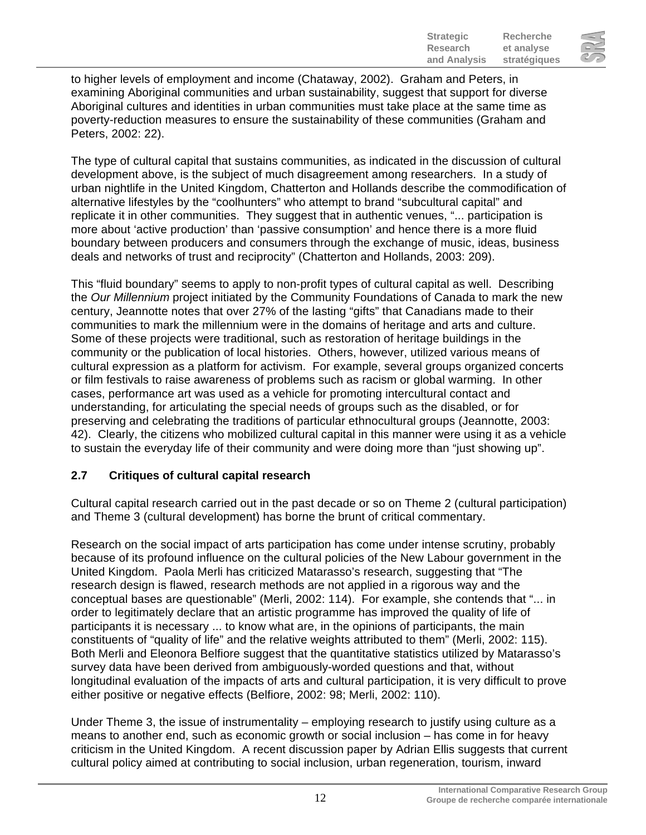to higher levels of employment and income (Chataway, 2002). Graham and Peters, in examining Aboriginal communities and urban sustainability, suggest that support for diverse Aboriginal cultures and identities in urban communities must take place at the same time as poverty-reduction measures to ensure the sustainability of these communities (Graham and Peters, 2002: 22).

The type of cultural capital that sustains communities, as indicated in the discussion of cultural development above, is the subject of much disagreement among researchers. In a study of urban nightlife in the United Kingdom, Chatterton and Hollands describe the commodification of alternative lifestyles by the "coolhunters" who attempt to brand "subcultural capital" and replicate it in other communities. They suggest that in authentic venues, "... participation is more about 'active production' than 'passive consumption' and hence there is a more fluid boundary between producers and consumers through the exchange of music, ideas, business deals and networks of trust and reciprocity" (Chatterton and Hollands, 2003: 209).

This "fluid boundary" seems to apply to non-profit types of cultural capital as well. Describing the *Our Millennium* project initiated by the Community Foundations of Canada to mark the new century, Jeannotte notes that over 27% of the lasting "gifts" that Canadians made to their communities to mark the millennium were in the domains of heritage and arts and culture. Some of these projects were traditional, such as restoration of heritage buildings in the community or the publication of local histories. Others, however, utilized various means of cultural expression as a platform for activism. For example, several groups organized concerts or film festivals to raise awareness of problems such as racism or global warming. In other cases, performance art was used as a vehicle for promoting intercultural contact and understanding, for articulating the special needs of groups such as the disabled, or for preserving and celebrating the traditions of particular ethnocultural groups (Jeannotte, 2003: 42). Clearly, the citizens who mobilized cultural capital in this manner were using it as a vehicle to sustain the everyday life of their community and were doing more than "just showing up".

#### **2.7 Critiques of cultural capital research**

Cultural capital research carried out in the past decade or so on Theme 2 (cultural participation) and Theme 3 (cultural development) has borne the brunt of critical commentary.

Research on the social impact of arts participation has come under intense scrutiny, probably because of its profound influence on the cultural policies of the New Labour government in the United Kingdom. Paola Merli has criticized Matarasso's research, suggesting that "The research design is flawed, research methods are not applied in a rigorous way and the conceptual bases are questionable" (Merli, 2002: 114). For example, she contends that "... in order to legitimately declare that an artistic programme has improved the quality of life of participants it is necessary ... to know what are, in the opinions of participants, the main constituents of "quality of life" and the relative weights attributed to them" (Merli, 2002: 115). Both Merli and Eleonora Belfiore suggest that the quantitative statistics utilized by Matarasso's survey data have been derived from ambiguously-worded questions and that, without longitudinal evaluation of the impacts of arts and cultural participation, it is very difficult to prove either positive or negative effects (Belfiore, 2002: 98; Merli, 2002: 110).

Under Theme 3, the issue of instrumentality – employing research to justify using culture as a means to another end, such as economic growth or social inclusion – has come in for heavy criticism in the United Kingdom. A recent discussion paper by Adrian Ellis suggests that current cultural policy aimed at contributing to social inclusion, urban regeneration, tourism, inward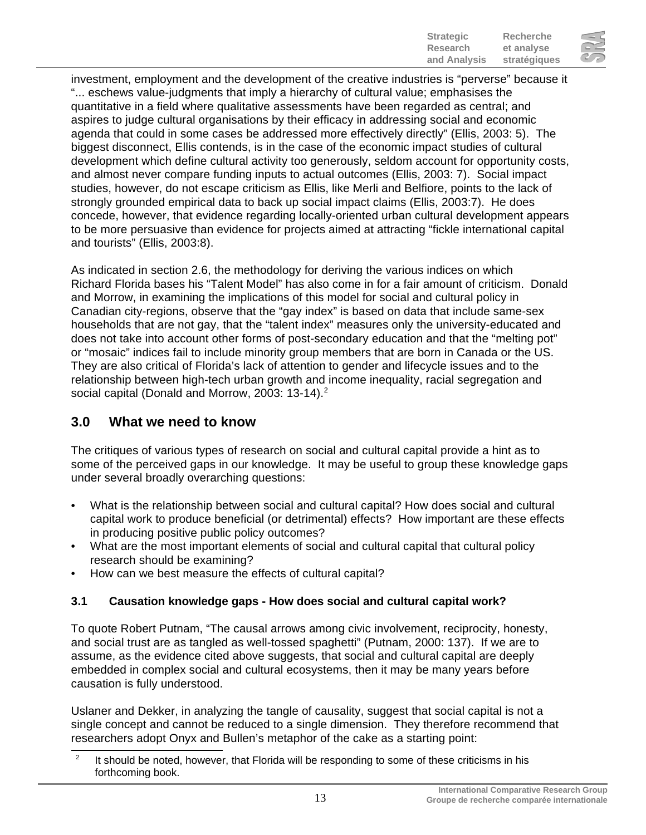investment, employment and the development of the creative industries is "perverse" because it "... eschews value-judgments that imply a hierarchy of cultural value; emphasises the quantitative in a field where qualitative assessments have been regarded as central; and aspires to judge cultural organisations by their efficacy in addressing social and economic agenda that could in some cases be addressed more effectively directly" (Ellis, 2003: 5). The biggest disconnect, Ellis contends, is in the case of the economic impact studies of cultural development which define cultural activity too generously, seldom account for opportunity costs, and almost never compare funding inputs to actual outcomes (Ellis, 2003: 7). Social impact studies, however, do not escape criticism as Ellis, like Merli and Belfiore, points to the lack of strongly grounded empirical data to back up social impact claims (Ellis, 2003:7). He does concede, however, that evidence regarding locally-oriented urban cultural development appears to be more persuasive than evidence for projects aimed at attracting "fickle international capital and tourists" (Ellis, 2003:8).

As indicated in section 2.6, the methodology for deriving the various indices on which Richard Florida bases his "Talent Model" has also come in for a fair amount of criticism. Donald and Morrow, in examining the implications of this model for social and cultural policy in Canadian city-regions, observe that the "gay index" is based on data that include same-sex households that are not gay, that the "talent index" measures only the university-educated and does not take into account other forms of post-secondary education and that the "melting pot" or "mosaic" indices fail to include minority group members that are born in Canada or the US. They are also critical of Florida's lack of attention to gender and lifecycle issues and to the relationship between high-tech urban growth and income inequality, racial segregation and social capital (Donald and Morrow, 2003:  $13-14$ ).<sup>2</sup>

# **3.0 What we need to know**

The critiques of various types of research on social and cultural capital provide a hint as to some of the perceived gaps in our knowledge. It may be useful to group these knowledge gaps under several broadly overarching questions:

- What is the relationship between social and cultural capital? How does social and cultural capital work to produce beneficial (or detrimental) effects? How important are these effects in producing positive public policy outcomes?
- What are the most important elements of social and cultural capital that cultural policy research should be examining?
- How can we best measure the effects of cultural capital?

## **3.1 Causation knowledge gaps - How does social and cultural capital work?**

To quote Robert Putnam, "The causal arrows among civic involvement, reciprocity, honesty, and social trust are as tangled as well-tossed spaghetti" (Putnam, 2000: 137). If we are to assume, as the evidence cited above suggests, that social and cultural capital are deeply embedded in complex social and cultural ecosystems, then it may be many years before causation is fully understood.

Uslaner and Dekker, in analyzing the tangle of causality, suggest that social capital is not a single concept and cannot be reduced to a single dimension. They therefore recommend that researchers adopt Onyx and Bullen's metaphor of the cake as a starting point:

<sup>2</sup> It should be noted, however, that Florida will be responding to some of these criticisms in his forthcoming book.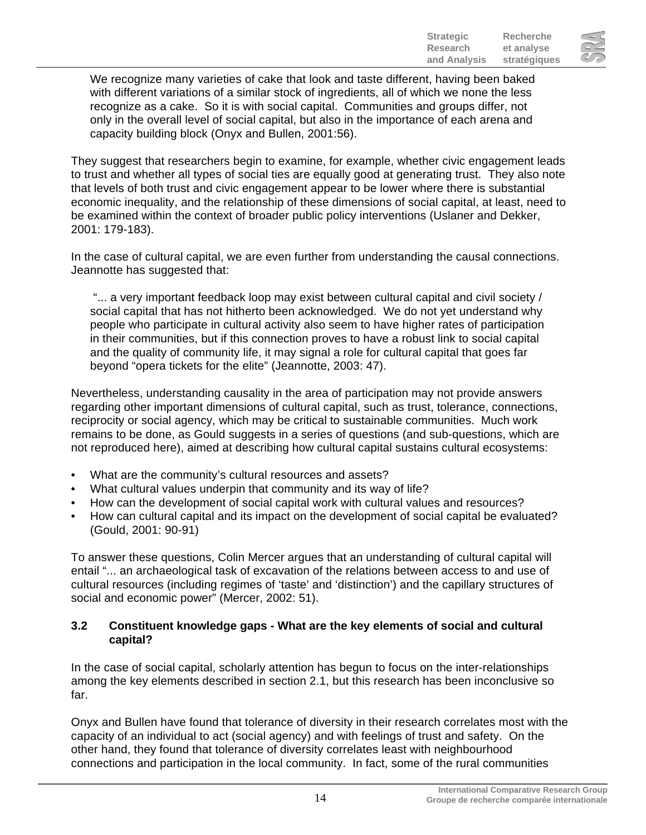We recognize many varieties of cake that look and taste different, having been baked with different variations of a similar stock of ingredients, all of which we none the less recognize as a cake. So it is with social capital. Communities and groups differ, not only in the overall level of social capital, but also in the importance of each arena and capacity building block (Onyx and Bullen, 2001:56).

They suggest that researchers begin to examine, for example, whether civic engagement leads to trust and whether all types of social ties are equally good at generating trust. They also note that levels of both trust and civic engagement appear to be lower where there is substantial economic inequality, and the relationship of these dimensions of social capital, at least, need to be examined within the context of broader public policy interventions (Uslaner and Dekker, 2001: 179-183).

In the case of cultural capital, we are even further from understanding the causal connections. Jeannotte has suggested that:

 "... a very important feedback loop may exist between cultural capital and civil society / social capital that has not hitherto been acknowledged. We do not yet understand why people who participate in cultural activity also seem to have higher rates of participation in their communities, but if this connection proves to have a robust link to social capital and the quality of community life, it may signal a role for cultural capital that goes far beyond "opera tickets for the elite" (Jeannotte, 2003: 47).

Nevertheless, understanding causality in the area of participation may not provide answers regarding other important dimensions of cultural capital, such as trust, tolerance, connections, reciprocity or social agency, which may be critical to sustainable communities. Much work remains to be done, as Gould suggests in a series of questions (and sub-questions, which are not reproduced here), aimed at describing how cultural capital sustains cultural ecosystems:

- What are the community's cultural resources and assets?
- What cultural values underpin that community and its way of life?
- How can the development of social capital work with cultural values and resources?
- How can cultural capital and its impact on the development of social capital be evaluated? (Gould, 2001: 90-91)

To answer these questions, Colin Mercer argues that an understanding of cultural capital will entail "... an archaeological task of excavation of the relations between access to and use of cultural resources (including regimes of 'taste' and 'distinction') and the capillary structures of social and economic power" (Mercer, 2002: 51).

#### **3.2 Constituent knowledge gaps - What are the key elements of social and cultural capital?**

In the case of social capital, scholarly attention has begun to focus on the inter-relationships among the key elements described in section 2.1, but this research has been inconclusive so far.

Onyx and Bullen have found that tolerance of diversity in their research correlates most with the capacity of an individual to act (social agency) and with feelings of trust and safety. On the other hand, they found that tolerance of diversity correlates least with neighbourhood connections and participation in the local community. In fact, some of the rural communities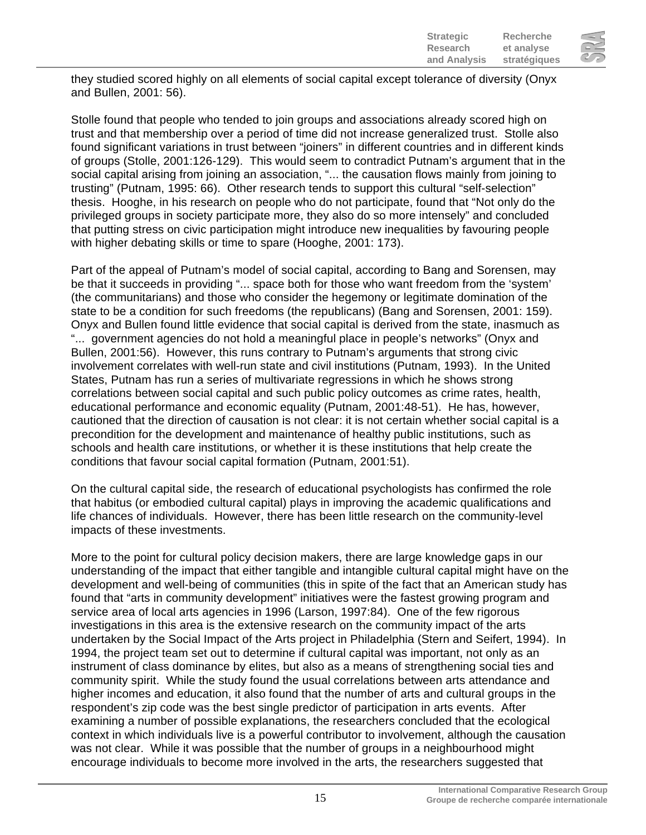they studied scored highly on all elements of social capital except tolerance of diversity (Onyx and Bullen, 2001: 56).

Stolle found that people who tended to join groups and associations already scored high on trust and that membership over a period of time did not increase generalized trust. Stolle also found significant variations in trust between "joiners" in different countries and in different kinds of groups (Stolle, 2001:126-129). This would seem to contradict Putnam's argument that in the social capital arising from joining an association, "... the causation flows mainly from joining to trusting" (Putnam, 1995: 66). Other research tends to support this cultural "self-selection" thesis. Hooghe, in his research on people who do not participate, found that "Not only do the privileged groups in society participate more, they also do so more intensely" and concluded that putting stress on civic participation might introduce new inequalities by favouring people with higher debating skills or time to spare (Hooghe, 2001: 173).

Part of the appeal of Putnam's model of social capital, according to Bang and Sorensen, may be that it succeeds in providing "... space both for those who want freedom from the 'system' (the communitarians) and those who consider the hegemony or legitimate domination of the state to be a condition for such freedoms (the republicans) (Bang and Sorensen, 2001: 159). Onyx and Bullen found little evidence that social capital is derived from the state, inasmuch as "... government agencies do not hold a meaningful place in people's networks" (Onyx and Bullen, 2001:56). However, this runs contrary to Putnam's arguments that strong civic involvement correlates with well-run state and civil institutions (Putnam, 1993). In the United States, Putnam has run a series of multivariate regressions in which he shows strong correlations between social capital and such public policy outcomes as crime rates, health, educational performance and economic equality (Putnam, 2001:48-51). He has, however, cautioned that the direction of causation is not clear: it is not certain whether social capital is a precondition for the development and maintenance of healthy public institutions, such as schools and health care institutions, or whether it is these institutions that help create the conditions that favour social capital formation (Putnam, 2001:51).

On the cultural capital side, the research of educational psychologists has confirmed the role that habitus (or embodied cultural capital) plays in improving the academic qualifications and life chances of individuals. However, there has been little research on the community-level impacts of these investments.

More to the point for cultural policy decision makers, there are large knowledge gaps in our understanding of the impact that either tangible and intangible cultural capital might have on the development and well-being of communities (this in spite of the fact that an American study has found that "arts in community development" initiatives were the fastest growing program and service area of local arts agencies in 1996 (Larson, 1997:84). One of the few rigorous investigations in this area is the extensive research on the community impact of the arts undertaken by the Social Impact of the Arts project in Philadelphia (Stern and Seifert, 1994). In 1994, the project team set out to determine if cultural capital was important, not only as an instrument of class dominance by elites, but also as a means of strengthening social ties and community spirit. While the study found the usual correlations between arts attendance and higher incomes and education, it also found that the number of arts and cultural groups in the respondent's zip code was the best single predictor of participation in arts events. After examining a number of possible explanations, the researchers concluded that the ecological context in which individuals live is a powerful contributor to involvement, although the causation was not clear. While it was possible that the number of groups in a neighbourhood might encourage individuals to become more involved in the arts, the researchers suggested that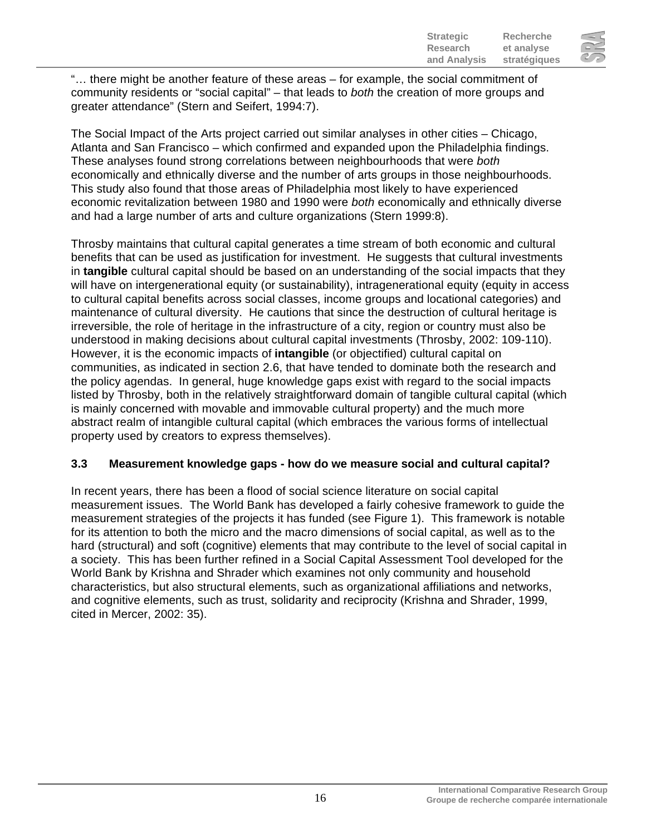"… there might be another feature of these areas – for example, the social commitment of community residents or "social capital" – that leads to *both* the creation of more groups and greater attendance" (Stern and Seifert, 1994:7).

The Social Impact of the Arts project carried out similar analyses in other cities – Chicago, Atlanta and San Francisco – which confirmed and expanded upon the Philadelphia findings. These analyses found strong correlations between neighbourhoods that were *both* economically and ethnically diverse and the number of arts groups in those neighbourhoods. This study also found that those areas of Philadelphia most likely to have experienced economic revitalization between 1980 and 1990 were *both* economically and ethnically diverse and had a large number of arts and culture organizations (Stern 1999:8).

Throsby maintains that cultural capital generates a time stream of both economic and cultural benefits that can be used as justification for investment. He suggests that cultural investments in **tangible** cultural capital should be based on an understanding of the social impacts that they will have on intergenerational equity (or sustainability), intragenerational equity (equity in access to cultural capital benefits across social classes, income groups and locational categories) and maintenance of cultural diversity. He cautions that since the destruction of cultural heritage is irreversible, the role of heritage in the infrastructure of a city, region or country must also be understood in making decisions about cultural capital investments (Throsby, 2002: 109-110). However, it is the economic impacts of **intangible** (or objectified) cultural capital on communities, as indicated in section 2.6, that have tended to dominate both the research and the policy agendas. In general, huge knowledge gaps exist with regard to the social impacts listed by Throsby, both in the relatively straightforward domain of tangible cultural capital (which is mainly concerned with movable and immovable cultural property) and the much more abstract realm of intangible cultural capital (which embraces the various forms of intellectual property used by creators to express themselves).

#### **3.3 Measurement knowledge gaps - how do we measure social and cultural capital?**

In recent years, there has been a flood of social science literature on social capital measurement issues. The World Bank has developed a fairly cohesive framework to guide the measurement strategies of the projects it has funded (see Figure 1). This framework is notable for its attention to both the micro and the macro dimensions of social capital, as well as to the hard (structural) and soft (cognitive) elements that may contribute to the level of social capital in a society. This has been further refined in a Social Capital Assessment Tool developed for the World Bank by Krishna and Shrader which examines not only community and household characteristics, but also structural elements, such as organizational affiliations and networks, and cognitive elements, such as trust, solidarity and reciprocity (Krishna and Shrader, 1999, cited in Mercer, 2002: 35).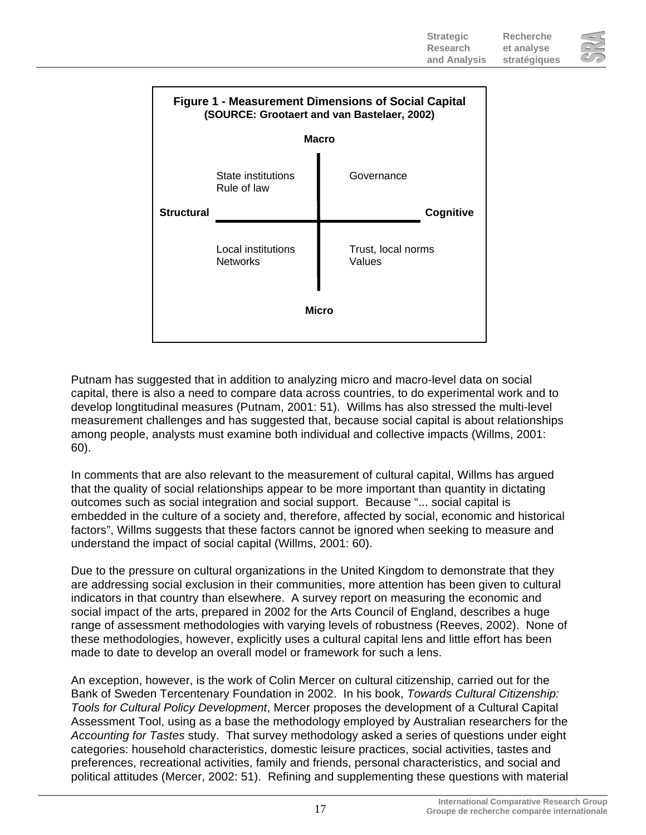

Putnam has suggested that in addition to analyzing micro and macro-level data on social capital, there is also a need to compare data across countries, to do experimental work and to develop longtitudinal measures (Putnam, 2001: 51). Willms has also stressed the multi-level measurement challenges and has suggested that, because social capital is about relationships among people, analysts must examine both individual and collective impacts (Willms, 2001: 60).

In comments that are also relevant to the measurement of cultural capital, Willms has argued that the quality of social relationships appear to be more important than quantity in dictating outcomes such as social integration and social support. Because "... social capital is embedded in the culture of a society and, therefore, affected by social, economic and historical factors", Willms suggests that these factors cannot be ignored when seeking to measure and understand the impact of social capital (Willms, 2001: 60).

Due to the pressure on cultural organizations in the United Kingdom to demonstrate that they are addressing social exclusion in their communities, more attention has been given to cultural indicators in that country than elsewhere. A survey report on measuring the economic and social impact of the arts, prepared in 2002 for the Arts Council of England, describes a huge range of assessment methodologies with varying levels of robustness (Reeves, 2002). None of these methodologies, however, explicitly uses a cultural capital lens and little effort has been made to date to develop an overall model or framework for such a lens.

An exception, however, is the work of Colin Mercer on cultural citizenship, carried out for the Bank of Sweden Tercentenary Foundation in 2002. In his book, *Towards Cultural Citizenship: Tools for Cultural Policy Development*, Mercer proposes the development of a Cultural Capital Assessment Tool, using as a base the methodology employed by Australian researchers for the *Accounting for Tastes* study. That survey methodology asked a series of questions under eight categories: household characteristics, domestic leisure practices, social activities, tastes and preferences, recreational activities, family and friends, personal characteristics, and social and political attitudes (Mercer, 2002: 51). Refining and supplementing these questions with material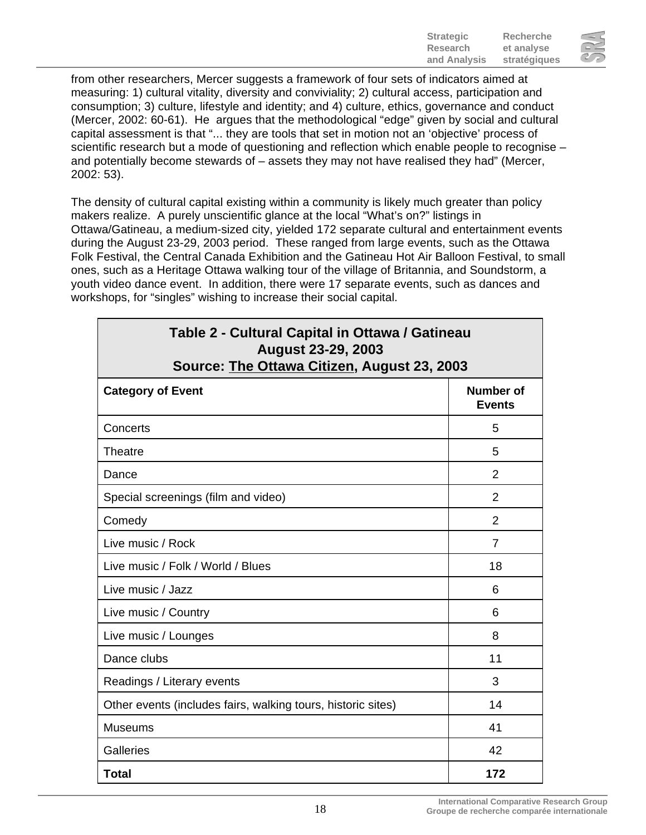from other researchers, Mercer suggests a framework of four sets of indicators aimed at measuring: 1) cultural vitality, diversity and conviviality; 2) cultural access, participation and consumption; 3) culture, lifestyle and identity; and 4) culture, ethics, governance and conduct (Mercer, 2002: 60-61). He argues that the methodological "edge" given by social and cultural capital assessment is that "... they are tools that set in motion not an 'objective' process of scientific research but a mode of questioning and reflection which enable people to recognise – and potentially become stewards of – assets they may not have realised they had" (Mercer, 2002: 53).

The density of cultural capital existing within a community is likely much greater than policy makers realize. A purely unscientific glance at the local "What's on?" listings in Ottawa/Gatineau, a medium-sized city, yielded 172 separate cultural and entertainment events during the August 23-29, 2003 period. These ranged from large events, such as the Ottawa Folk Festival, the Central Canada Exhibition and the Gatineau Hot Air Balloon Festival, to small ones, such as a Heritage Ottawa walking tour of the village of Britannia, and Soundstorm, a youth video dance event. In addition, there were 17 separate events, such as dances and workshops, for "singles" wishing to increase their social capital.

| Table 2 - Cultural Capital in Ottawa / Gatineau<br><b>August 23-29, 2003</b><br>Source: The Ottawa Citizen, August 23, 2003 |                                   |  |
|-----------------------------------------------------------------------------------------------------------------------------|-----------------------------------|--|
| <b>Category of Event</b>                                                                                                    | <b>Number of</b><br><b>Events</b> |  |
| Concerts                                                                                                                    | 5                                 |  |
| Theatre                                                                                                                     | 5                                 |  |
| Dance                                                                                                                       | $\overline{2}$                    |  |
| Special screenings (film and video)                                                                                         | $\overline{2}$                    |  |
| Comedy                                                                                                                      | 2                                 |  |
| Live music / Rock                                                                                                           | $\overline{7}$                    |  |
| Live music / Folk / World / Blues                                                                                           | 18                                |  |
| Live music / Jazz                                                                                                           | 6                                 |  |
| Live music / Country                                                                                                        | 6                                 |  |
| Live music / Lounges                                                                                                        | 8                                 |  |
| Dance clubs                                                                                                                 | 11                                |  |
| Readings / Literary events                                                                                                  | 3                                 |  |
| Other events (includes fairs, walking tours, historic sites)                                                                | 14                                |  |
| Museums                                                                                                                     | 41                                |  |
| <b>Galleries</b>                                                                                                            | 42                                |  |
| <b>Total</b>                                                                                                                | 172                               |  |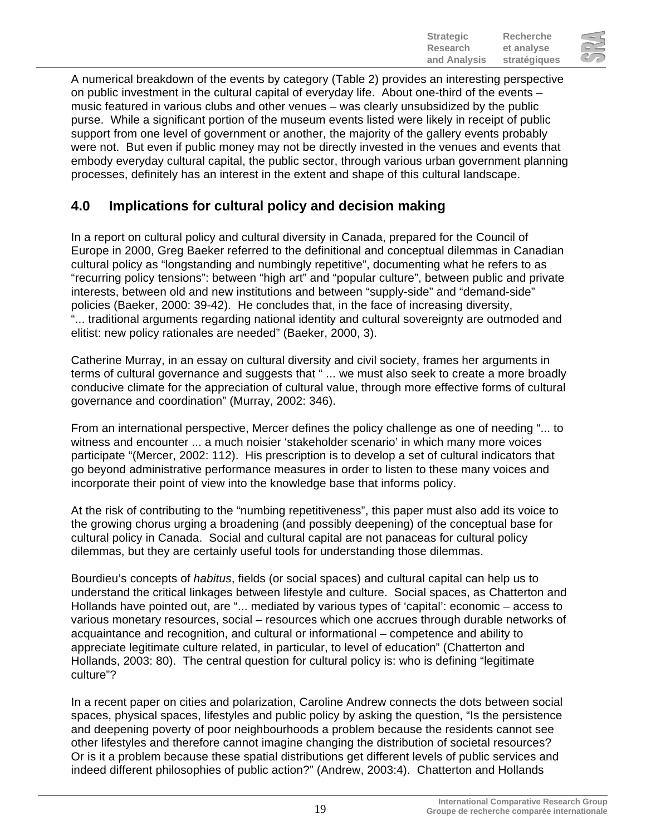A numerical breakdown of the events by category (Table 2) provides an interesting perspective on public investment in the cultural capital of everyday life. About one-third of the events – music featured in various clubs and other venues – was clearly unsubsidized by the public purse. While a significant portion of the museum events listed were likely in receipt of public support from one level of government or another, the majority of the gallery events probably were not. But even if public money may not be directly invested in the venues and events that embody everyday cultural capital, the public sector, through various urban government planning processes, definitely has an interest in the extent and shape of this cultural landscape.

# **4.0 Implications for cultural policy and decision making**

In a report on cultural policy and cultural diversity in Canada, prepared for the Council of Europe in 2000, Greg Baeker referred to the definitional and conceptual dilemmas in Canadian cultural policy as "longstanding and numbingly repetitive", documenting what he refers to as "recurring policy tensions": between "high art" and "popular culture", between public and private interests, between old and new institutions and between "supply-side" and "demand-side" policies (Baeker, 2000: 39-42). He concludes that, in the face of increasing diversity, "... traditional arguments regarding national identity and cultural sovereignty are outmoded and elitist: new policy rationales are needed" (Baeker, 2000, 3).

Catherine Murray, in an essay on cultural diversity and civil society, frames her arguments in terms of cultural governance and suggests that " ... we must also seek to create a more broadly conducive climate for the appreciation of cultural value, through more effective forms of cultural governance and coordination" (Murray, 2002: 346).

From an international perspective, Mercer defines the policy challenge as one of needing "... to witness and encounter ... a much noisier 'stakeholder scenario' in which many more voices participate "(Mercer, 2002: 112). His prescription is to develop a set of cultural indicators that go beyond administrative performance measures in order to listen to these many voices and incorporate their point of view into the knowledge base that informs policy.

At the risk of contributing to the "numbing repetitiveness", this paper must also add its voice to the growing chorus urging a broadening (and possibly deepening) of the conceptual base for cultural policy in Canada. Social and cultural capital are not panaceas for cultural policy dilemmas, but they are certainly useful tools for understanding those dilemmas.

Bourdieu's concepts of *habitus*, fields (or social spaces) and cultural capital can help us to understand the critical linkages between lifestyle and culture. Social spaces, as Chatterton and Hollands have pointed out, are "... mediated by various types of 'capital': economic – access to various monetary resources, social – resources which one accrues through durable networks of acquaintance and recognition, and cultural or informational – competence and ability to appreciate legitimate culture related, in particular, to level of education" (Chatterton and Hollands, 2003: 80). The central question for cultural policy is: who is defining "legitimate culture"?

In a recent paper on cities and polarization, Caroline Andrew connects the dots between social spaces, physical spaces, lifestyles and public policy by asking the question, "Is the persistence and deepening poverty of poor neighbourhoods a problem because the residents cannot see other lifestyles and therefore cannot imagine changing the distribution of societal resources? Or is it a problem because these spatial distributions get different levels of public services and indeed different philosophies of public action?" (Andrew, 2003:4). Chatterton and Hollands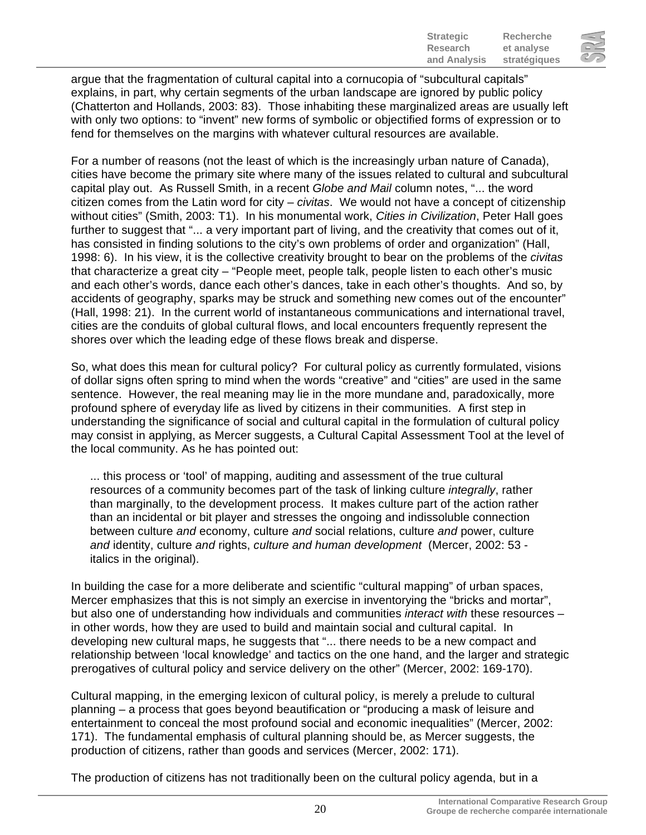argue that the fragmentation of cultural capital into a cornucopia of "subcultural capitals" explains, in part, why certain segments of the urban landscape are ignored by public policy (Chatterton and Hollands, 2003: 83). Those inhabiting these marginalized areas are usually left with only two options: to "invent" new forms of symbolic or objectified forms of expression or to fend for themselves on the margins with whatever cultural resources are available.

For a number of reasons (not the least of which is the increasingly urban nature of Canada), cities have become the primary site where many of the issues related to cultural and subcultural capital play out. As Russell Smith, in a recent *Globe and Mail* column notes, "... the word citizen comes from the Latin word for city – *civitas*. We would not have a concept of citizenship without cities" (Smith, 2003: T1). In his monumental work, *Cities in Civilization*, Peter Hall goes further to suggest that "... a very important part of living, and the creativity that comes out of it, has consisted in finding solutions to the city's own problems of order and organization" (Hall, 1998: 6). In his view, it is the collective creativity brought to bear on the problems of the *civitas* that characterize a great city – "People meet, people talk, people listen to each other's music and each other's words, dance each other's dances, take in each other's thoughts. And so, by accidents of geography, sparks may be struck and something new comes out of the encounter" (Hall, 1998: 21). In the current world of instantaneous communications and international travel, cities are the conduits of global cultural flows, and local encounters frequently represent the shores over which the leading edge of these flows break and disperse.

So, what does this mean for cultural policy? For cultural policy as currently formulated, visions of dollar signs often spring to mind when the words "creative" and "cities" are used in the same sentence. However, the real meaning may lie in the more mundane and, paradoxically, more profound sphere of everyday life as lived by citizens in their communities. A first step in understanding the significance of social and cultural capital in the formulation of cultural policy may consist in applying, as Mercer suggests, a Cultural Capital Assessment Tool at the level of the local community. As he has pointed out:

... this process or 'tool' of mapping, auditing and assessment of the true cultural resources of a community becomes part of the task of linking culture *integrally*, rather than marginally, to the development process. It makes culture part of the action rather than an incidental or bit player and stresses the ongoing and indissoluble connection between culture *and* economy, culture *and* social relations, culture *and* power, culture *and* identity, culture *and* rights, *culture and human development* (Mercer, 2002: 53 italics in the original).

In building the case for a more deliberate and scientific "cultural mapping" of urban spaces, Mercer emphasizes that this is not simply an exercise in inventorying the "bricks and mortar", but also one of understanding how individuals and communities *interact with* these resources – in other words, how they are used to build and maintain social and cultural capital. In developing new cultural maps, he suggests that "... there needs to be a new compact and relationship between 'local knowledge' and tactics on the one hand, and the larger and strategic prerogatives of cultural policy and service delivery on the other" (Mercer, 2002: 169-170).

Cultural mapping, in the emerging lexicon of cultural policy, is merely a prelude to cultural planning – a process that goes beyond beautification or "producing a mask of leisure and entertainment to conceal the most profound social and economic inequalities" (Mercer, 2002: 171). The fundamental emphasis of cultural planning should be, as Mercer suggests, the production of citizens, rather than goods and services (Mercer, 2002: 171).

The production of citizens has not traditionally been on the cultural policy agenda, but in a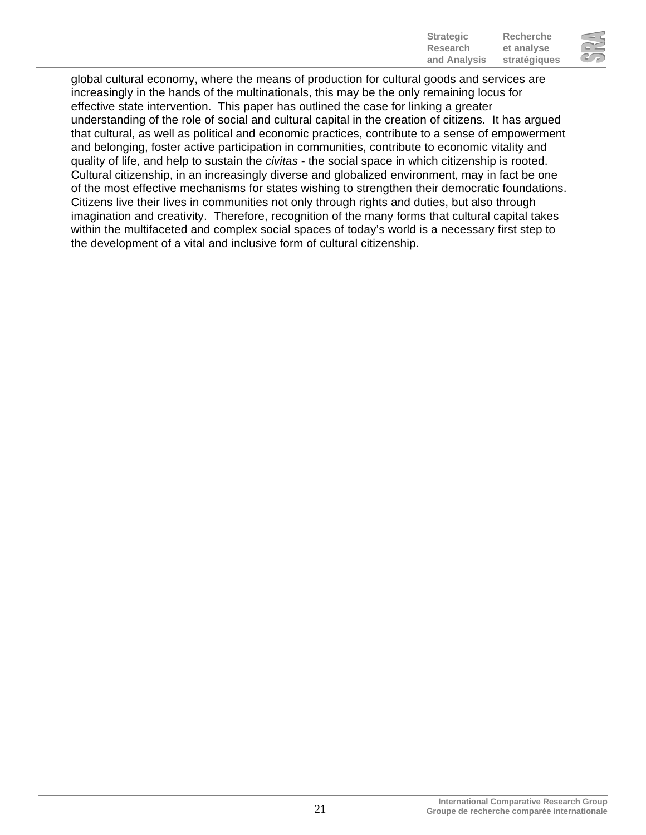global cultural economy, where the means of production for cultural goods and services are increasingly in the hands of the multinationals, this may be the only remaining locus for effective state intervention. This paper has outlined the case for linking a greater understanding of the role of social and cultural capital in the creation of citizens. It has argued that cultural, as well as political and economic practices, contribute to a sense of empowerment and belonging, foster active participation in communities, contribute to economic vitality and quality of life, and help to sustain the *civitas* - the social space in which citizenship is rooted. Cultural citizenship, in an increasingly diverse and globalized environment, may in fact be one of the most effective mechanisms for states wishing to strengthen their democratic foundations. Citizens live their lives in communities not only through rights and duties, but also through imagination and creativity. Therefore, recognition of the many forms that cultural capital takes within the multifaceted and complex social spaces of today's world is a necessary first step to the development of a vital and inclusive form of cultural citizenship.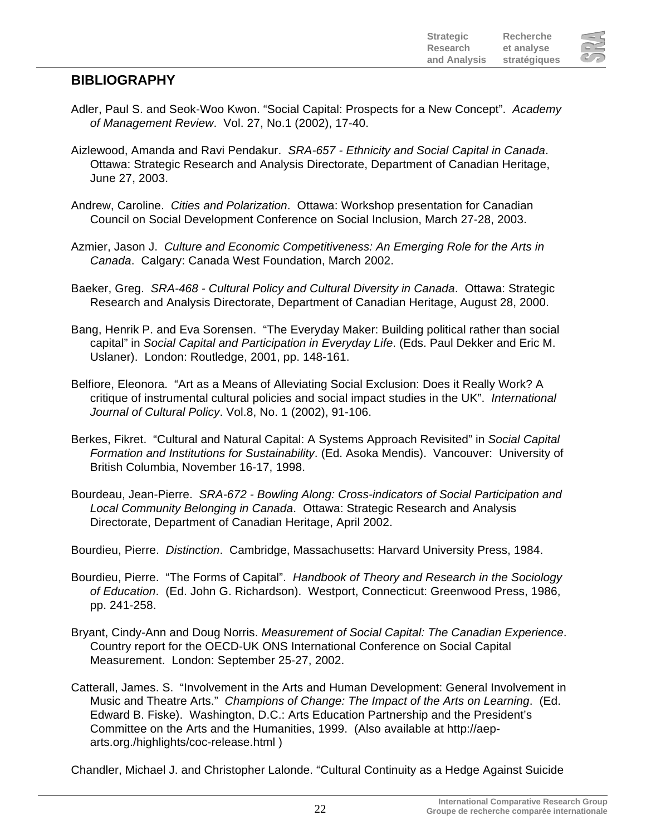## **BIBLIOGRAPHY**

- Adler, Paul S. and Seok-Woo Kwon. "Social Capital: Prospects for a New Concept". *Academy of Management Review*. Vol. 27, No.1 (2002), 17-40.
- Aizlewood, Amanda and Ravi Pendakur. *SRA-657 Ethnicity and Social Capital in Canada*. Ottawa: Strategic Research and Analysis Directorate, Department of Canadian Heritage, June 27, 2003.
- Andrew, Caroline. *Cities and Polarization*. Ottawa: Workshop presentation for Canadian Council on Social Development Conference on Social Inclusion, March 27-28, 2003.
- Azmier, Jason J. *Culture and Economic Competitiveness: An Emerging Role for the Arts in Canada*. Calgary: Canada West Foundation, March 2002.
- Baeker, Greg. *SRA-468 Cultural Policy and Cultural Diversity in Canada*. Ottawa: Strategic Research and Analysis Directorate, Department of Canadian Heritage, August 28, 2000.
- Bang, Henrik P. and Eva Sorensen. "The Everyday Maker: Building political rather than social capital" in *Social Capital and Participation in Everyday Life*. (Eds. Paul Dekker and Eric M. Uslaner). London: Routledge, 2001, pp. 148-161.
- Belfiore, Eleonora. "Art as a Means of Alleviating Social Exclusion: Does it Really Work? A critique of instrumental cultural policies and social impact studies in the UK". *International Journal of Cultural Policy*. Vol.8, No. 1 (2002), 91-106.
- Berkes, Fikret. "Cultural and Natural Capital: A Systems Approach Revisited" in *Social Capital Formation and Institutions for Sustainability*. (Ed. Asoka Mendis). Vancouver: University of British Columbia, November 16-17, 1998.
- Bourdeau, Jean-Pierre. *SRA-672 Bowling Along: Cross-indicators of Social Participation and Local Community Belonging in Canada*. Ottawa: Strategic Research and Analysis Directorate, Department of Canadian Heritage, April 2002.
- Bourdieu, Pierre. *Distinction*. Cambridge, Massachusetts: Harvard University Press, 1984.
- Bourdieu, Pierre. "The Forms of Capital". *Handbook of Theory and Research in the Sociology of Education*. (Ed. John G. Richardson). Westport, Connecticut: Greenwood Press, 1986, pp. 241-258.
- Bryant, Cindy-Ann and Doug Norris. *Measurement of Social Capital: The Canadian Experience*. Country report for the OECD-UK ONS International Conference on Social Capital Measurement. London: September 25-27, 2002.
- Catterall, James. S. "Involvement in the Arts and Human Development: General Involvement in Music and Theatre Arts." *Champions of Change: The Impact of the Arts on Learning*. (Ed. Edward B. Fiske). Washington, D.C.: Arts Education Partnership and the President's Committee on the Arts and the Humanities, 1999. (Also available at http://aeparts.org./highlights/coc-release.html )

Chandler, Michael J. and Christopher Lalonde. "Cultural Continuity as a Hedge Against Suicide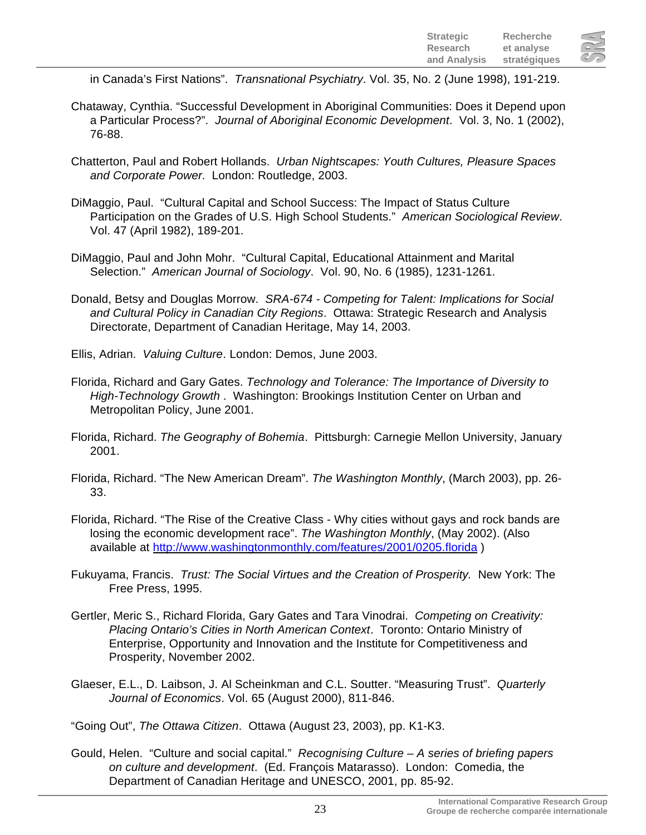in Canada's First Nations". *Transnational Psychiatry*. Vol. 35, No. 2 (June 1998), 191-219.

- Chataway, Cynthia. "Successful Development in Aboriginal Communities: Does it Depend upon a Particular Process?". *Journal of Aboriginal Economic Development*. Vol. 3, No. 1 (2002), 76-88.
- Chatterton, Paul and Robert Hollands. *Urban Nightscapes: Youth Cultures, Pleasure Spaces and Corporate Power*. London: Routledge, 2003.
- DiMaggio, Paul. "Cultural Capital and School Success: The Impact of Status Culture Participation on the Grades of U.S. High School Students." *American Sociological Review*. Vol. 47 (April 1982), 189-201.
- DiMaggio, Paul and John Mohr. "Cultural Capital, Educational Attainment and Marital Selection." *American Journal of Sociology*. Vol. 90, No. 6 (1985), 1231-1261.
- Donald, Betsy and Douglas Morrow. *SRA-674 Competing for Talent: Implications for Social and Cultural Policy in Canadian City Regions*. Ottawa: Strategic Research and Analysis Directorate, Department of Canadian Heritage, May 14, 2003.
- Ellis, Adrian. *Valuing Culture*. London: Demos, June 2003.
- Florida, Richard and Gary Gates. *Technology and Tolerance: The Importance of Diversity to High-Technology Growth* . Washington: Brookings Institution Center on Urban and Metropolitan Policy, June 2001.
- Florida, Richard. *The Geography of Bohemia*. Pittsburgh: Carnegie Mellon University, January 2001.
- Florida, Richard. "The New American Dream". *The Washington Monthly*, (March 2003), pp. 26- 33.
- Florida, Richard. "The Rise of the Creative Class Why cities without gays and rock bands are losing the economic development race". *The Washington Monthly*, (May 2002). (Also available at http://www.washingtonmonthly.com/features/2001/0205.florida )
- Fukuyama, Francis. *Trust: The Social Virtues and the Creation of Prosperity.* New York: The Free Press, 1995.
- Gertler, Meric S., Richard Florida, Gary Gates and Tara Vinodrai. *Competing on Creativity: Placing Ontario's Cities in North American Context*. Toronto: Ontario Ministry of Enterprise, Opportunity and Innovation and the Institute for Competitiveness and Prosperity, November 2002.
- Glaeser, E.L., D. Laibson, J. Al Scheinkman and C.L. Soutter. "Measuring Trust". *Quarterly Journal of Economics*. Vol. 65 (August 2000), 811-846.
- "Going Out", *The Ottawa Citizen*. Ottawa (August 23, 2003), pp. K1-K3.
- Gould, Helen. "Culture and social capital." *Recognising Culture A series of briefing papers on culture and development*. (Ed. François Matarasso). London: Comedia, the Department of Canadian Heritage and UNESCO, 2001, pp. 85-92.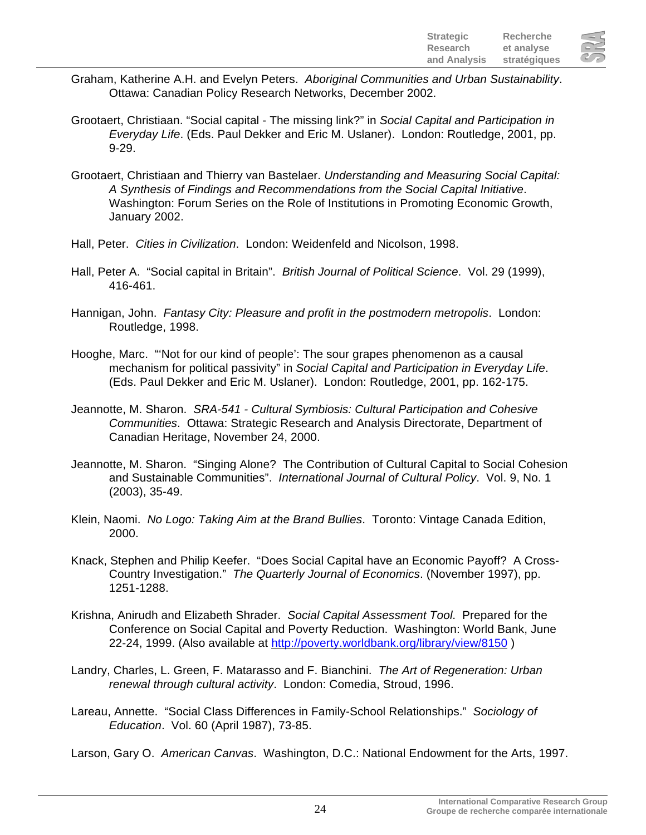- Graham, Katherine A.H. and Evelyn Peters. *Aboriginal Communities and Urban Sustainability*. Ottawa: Canadian Policy Research Networks, December 2002.
- Grootaert, Christiaan. "Social capital The missing link?" in *Social Capital and Participation in Everyday Life*. (Eds. Paul Dekker and Eric M. Uslaner). London: Routledge, 2001, pp. 9-29.
- Grootaert, Christiaan and Thierry van Bastelaer. *Understanding and Measuring Social Capital: A Synthesis of Findings and Recommendations from the Social Capital Initiative*. Washington: Forum Series on the Role of Institutions in Promoting Economic Growth, January 2002.
- Hall, Peter. *Cities in Civilization*. London: Weidenfeld and Nicolson, 1998.
- Hall, Peter A. "Social capital in Britain". *British Journal of Political Science*. Vol. 29 (1999), 416-461.
- Hannigan, John. *Fantasy City: Pleasure and profit in the postmodern metropolis*. London: Routledge, 1998.
- Hooghe, Marc. "'Not for our kind of people': The sour grapes phenomenon as a causal mechanism for political passivity" in *Social Capital and Participation in Everyday Life*. (Eds. Paul Dekker and Eric M. Uslaner). London: Routledge, 2001, pp. 162-175.
- Jeannotte, M. Sharon. *SRA-541 Cultural Symbiosis: Cultural Participation and Cohesive Communities*. Ottawa: Strategic Research and Analysis Directorate, Department of Canadian Heritage, November 24, 2000.
- Jeannotte, M. Sharon. "Singing Alone? The Contribution of Cultural Capital to Social Cohesion and Sustainable Communities". *International Journal of Cultural Policy*. Vol. 9, No. 1 (2003), 35-49.
- Klein, Naomi. *No Logo: Taking Aim at the Brand Bullies*. Toronto: Vintage Canada Edition, 2000.
- Knack, Stephen and Philip Keefer. "Does Social Capital have an Economic Payoff? A Cross-Country Investigation." *The Quarterly Journal of Economics*. (November 1997), pp. 1251-1288.
- Krishna, Anirudh and Elizabeth Shrader. *Social Capital Assessment Tool*. Prepared for the Conference on Social Capital and Poverty Reduction. Washington: World Bank, June 22-24, 1999. (Also available at http://poverty.worldbank.org/library/view/8150 )
- Landry, Charles, L. Green, F. Matarasso and F. Bianchini. *The Art of Regeneration: Urban renewal through cultural activity*. London: Comedia, Stroud, 1996.
- Lareau, Annette. "Social Class Differences in Family-School Relationships." *Sociology of Education*. Vol. 60 (April 1987), 73-85.
- Larson, Gary O. *American Canvas*. Washington, D.C.: National Endowment for the Arts, 1997.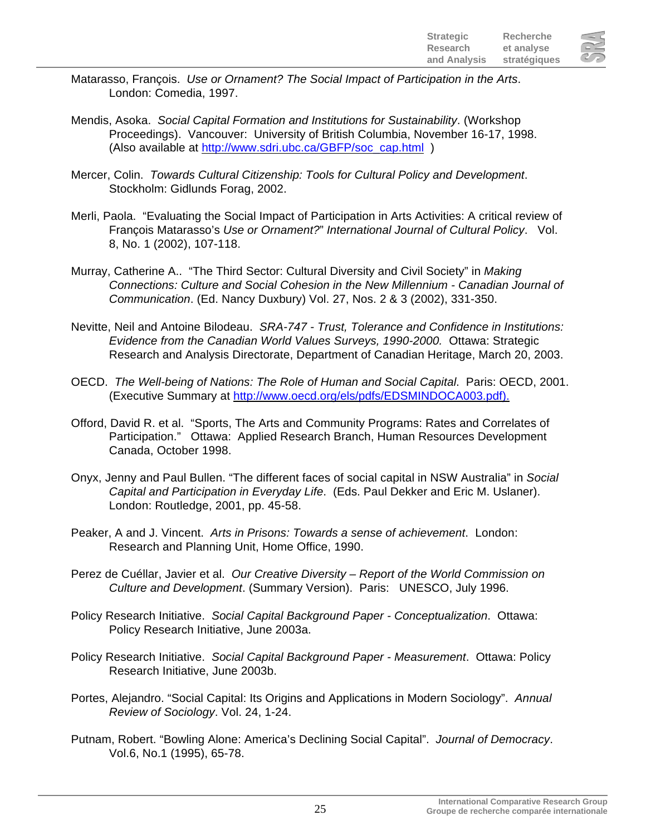- Matarasso, François. *Use or Ornament? The Social Impact of Participation in the Arts*. London: Comedia, 1997.
- Mendis, Asoka. *Social Capital Formation and Institutions for Sustainability*. (Workshop Proceedings). Vancouver: University of British Columbia, November 16-17, 1998. (Also available at http://www.sdri.ubc.ca/GBFP/soc\_cap.html )
- Mercer, Colin. *Towards Cultural Citizenship: Tools for Cultural Policy and Development*. Stockholm: Gidlunds Forag, 2002.
- Merli, Paola. "Evaluating the Social Impact of Participation in Arts Activities: A critical review of François Matarasso's *Use or Ornament?*" *International Journal of Cultural Policy*. Vol. 8, No. 1 (2002), 107-118.
- Murray, Catherine A.. "The Third Sector: Cultural Diversity and Civil Society" in *Making Connections: Culture and Social Cohesion in the New Millennium - Canadian Journal of Communication*. (Ed. Nancy Duxbury) Vol. 27, Nos. 2 & 3 (2002), 331-350.
- Nevitte, Neil and Antoine Bilodeau. *SRA-747 Trust, Tolerance and Confidence in Institutions: Evidence from the Canadian World Values Surveys, 1990-2000.* Ottawa: Strategic Research and Analysis Directorate, Department of Canadian Heritage, March 20, 2003.
- OECD. *The Well-being of Nations: The Role of Human and Social Capital*. Paris: OECD, 2001. (Executive Summary at http://www.oecd.org/els/pdfs/EDSMINDOCA003.pdf).
- Offord, David R. et al. "Sports, The Arts and Community Programs: Rates and Correlates of Participation." Ottawa: Applied Research Branch, Human Resources Development Canada, October 1998.
- Onyx, Jenny and Paul Bullen. "The different faces of social capital in NSW Australia" in *Social Capital and Participation in Everyday Life*. (Eds. Paul Dekker and Eric M. Uslaner). London: Routledge, 2001, pp. 45-58.
- Peaker, A and J. Vincent. *Arts in Prisons: Towards a sense of achievement*. London: Research and Planning Unit, Home Office, 1990.
- Perez de Cuéllar, Javier et al. *Our Creative Diversity Report of the World Commission on Culture and Development*. (Summary Version). Paris: UNESCO, July 1996.
- Policy Research Initiative. *Social Capital Background Paper Conceptualization*. Ottawa: Policy Research Initiative, June 2003a.
- Policy Research Initiative. *Social Capital Background Paper Measurement*. Ottawa: Policy Research Initiative, June 2003b.
- Portes, Alejandro. "Social Capital: Its Origins and Applications in Modern Sociology". *Annual Review of Sociology*. Vol. 24, 1-24.
- Putnam, Robert. "Bowling Alone: America's Declining Social Capital". *Journal of Democracy*. Vol.6, No.1 (1995), 65-78.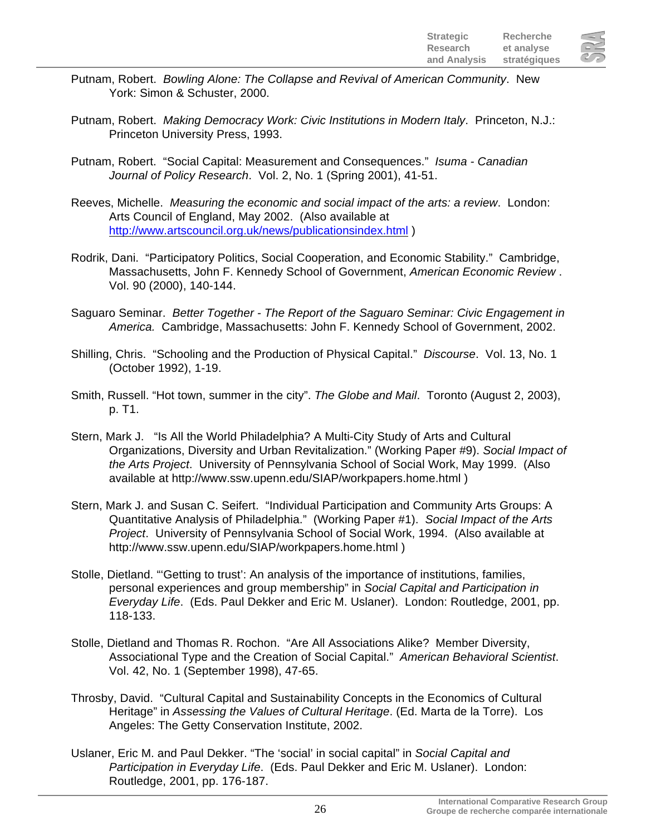- Putnam, Robert. *Bowling Alone: The Collapse and Revival of American Community*. New York: Simon & Schuster, 2000.
- Putnam, Robert. *Making Democracy Work: Civic Institutions in Modern Italy*. Princeton, N.J.: Princeton University Press, 1993.
- Putnam, Robert. "Social Capital: Measurement and Consequences." *Isuma Canadian Journal of Policy Research*. Vol. 2, No. 1 (Spring 2001), 41-51.
- Reeves, Michelle. *Measuring the economic and social impact of the arts: a review*. London: Arts Council of England, May 2002. (Also available at http://www.artscouncil.org.uk/news/publicationsindex.html )
- Rodrik, Dani. "Participatory Politics, Social Cooperation, and Economic Stability." Cambridge, Massachusetts, John F. Kennedy School of Government, *American Economic Review* . Vol. 90 (2000), 140-144.
- Saguaro Seminar. *Better Together The Report of the Saguaro Seminar: Civic Engagement in America.* Cambridge, Massachusetts: John F. Kennedy School of Government, 2002.
- Shilling, Chris. "Schooling and the Production of Physical Capital." *Discourse*. Vol. 13, No. 1 (October 1992), 1-19.
- Smith, Russell. "Hot town, summer in the city". *The Globe and Mail*. Toronto (August 2, 2003), p. T1.
- Stern, Mark J. "Is All the World Philadelphia? A Multi-City Study of Arts and Cultural Organizations, Diversity and Urban Revitalization." (Working Paper #9). *Social Impact of the Arts Project*. University of Pennsylvania School of Social Work, May 1999. (Also available at http://www.ssw.upenn.edu/SIAP/workpapers.home.html )
- Stern, Mark J. and Susan C. Seifert. "Individual Participation and Community Arts Groups: A Quantitative Analysis of Philadelphia." (Working Paper #1). *Social Impact of the Arts Project*. University of Pennsylvania School of Social Work, 1994. (Also available at http://www.ssw.upenn.edu/SIAP/workpapers.home.html )
- Stolle, Dietland. "'Getting to trust': An analysis of the importance of institutions, families, personal experiences and group membership" in *Social Capital and Participation in Everyday Life*. (Eds. Paul Dekker and Eric M. Uslaner). London: Routledge, 2001, pp. 118-133.
- Stolle, Dietland and Thomas R. Rochon. "Are All Associations Alike? Member Diversity, Associational Type and the Creation of Social Capital." *American Behavioral Scientist*. Vol. 42, No. 1 (September 1998), 47-65.
- Throsby, David. "Cultural Capital and Sustainability Concepts in the Economics of Cultural Heritage" in *Assessing the Values of Cultural Heritage*. (Ed. Marta de la Torre). Los Angeles: The Getty Conservation Institute, 2002.
- Uslaner, Eric M. and Paul Dekker. "The 'social' in social capital" in *Social Capital and Participation in Everyday Life*. (Eds. Paul Dekker and Eric M. Uslaner). London: Routledge, 2001, pp. 176-187.